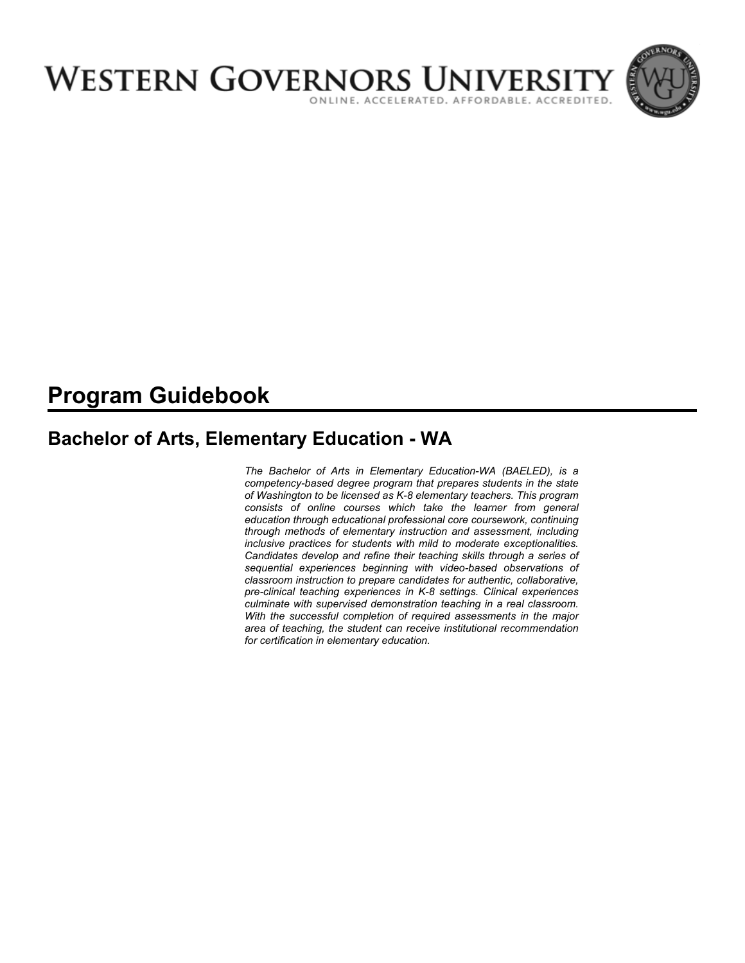

# **Program Guidebook**

# **Bachelor of Arts, Elementary Education - WA**

*The Bachelor of Arts in Elementary Education-WA (BAELED), is a competency-based degree program that prepares students in the state of Washington to be licensed as K-8 elementary teachers. This program consists of online courses which take the learner from general education through educational professional core coursework, continuing through methods of elementary instruction and assessment, including inclusive practices for students with mild to moderate exceptionalities. Candidates develop and refine their teaching skills through a series of sequential experiences beginning with video-based observations of classroom instruction to prepare candidates for authentic, collaborative, pre-clinical teaching experiences in K-8 settings. Clinical experiences culminate with supervised demonstration teaching in a real classroom. With the successful completion of required assessments in the major area of teaching, the student can receive institutional recommendation for certification in elementary education.*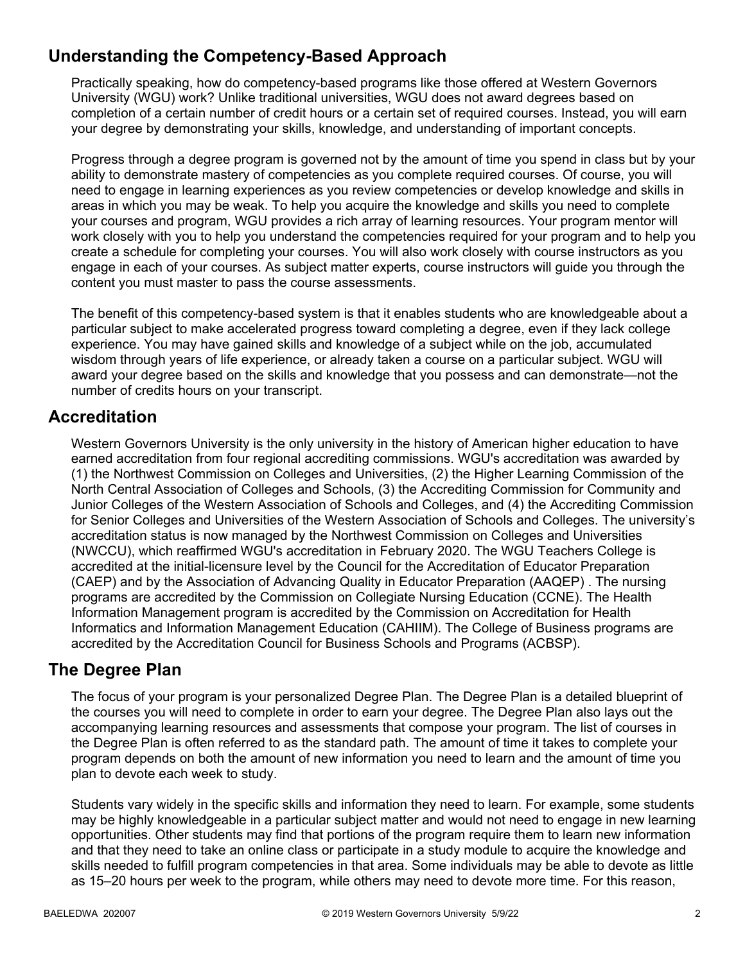## **Understanding the Competency-Based Approach**

Practically speaking, how do competency-based programs like those offered at Western Governors University (WGU) work? Unlike traditional universities, WGU does not award degrees based on completion of a certain number of credit hours or a certain set of required courses. Instead, you will earn your degree by demonstrating your skills, knowledge, and understanding of important concepts.

Progress through a degree program is governed not by the amount of time you spend in class but by your ability to demonstrate mastery of competencies as you complete required courses. Of course, you will need to engage in learning experiences as you review competencies or develop knowledge and skills in areas in which you may be weak. To help you acquire the knowledge and skills you need to complete your courses and program, WGU provides a rich array of learning resources. Your program mentor will work closely with you to help you understand the competencies required for your program and to help you create a schedule for completing your courses. You will also work closely with course instructors as you engage in each of your courses. As subject matter experts, course instructors will guide you through the content you must master to pass the course assessments.

The benefit of this competency-based system is that it enables students who are knowledgeable about a particular subject to make accelerated progress toward completing a degree, even if they lack college experience. You may have gained skills and knowledge of a subject while on the job, accumulated wisdom through years of life experience, or already taken a course on a particular subject. WGU will award your degree based on the skills and knowledge that you possess and can demonstrate—not the number of credits hours on your transcript.

## **Accreditation**

Western Governors University is the only university in the history of American higher education to have earned accreditation from four regional accrediting commissions. WGU's accreditation was awarded by (1) the Northwest Commission on Colleges and Universities, (2) the Higher Learning Commission of the North Central Association of Colleges and Schools, (3) the Accrediting Commission for Community and Junior Colleges of the Western Association of Schools and Colleges, and (4) the Accrediting Commission for Senior Colleges and Universities of the Western Association of Schools and Colleges. The university's accreditation status is now managed by the Northwest Commission on Colleges and Universities (NWCCU), which reaffirmed WGU's accreditation in February 2020. The WGU Teachers College is accredited at the initial-licensure level by the Council for the Accreditation of Educator Preparation (CAEP) and by the Association of Advancing Quality in Educator Preparation (AAQEP) . The nursing programs are accredited by the Commission on Collegiate Nursing Education (CCNE). The Health Information Management program is accredited by the Commission on Accreditation for Health Informatics and Information Management Education (CAHIIM). The College of Business programs are accredited by the Accreditation Council for Business Schools and Programs (ACBSP).

### **The Degree Plan**

The focus of your program is your personalized Degree Plan. The Degree Plan is a detailed blueprint of the courses you will need to complete in order to earn your degree. The Degree Plan also lays out the accompanying learning resources and assessments that compose your program. The list of courses in the Degree Plan is often referred to as the standard path. The amount of time it takes to complete your program depends on both the amount of new information you need to learn and the amount of time you plan to devote each week to study.

Students vary widely in the specific skills and information they need to learn. For example, some students may be highly knowledgeable in a particular subject matter and would not need to engage in new learning opportunities. Other students may find that portions of the program require them to learn new information and that they need to take an online class or participate in a study module to acquire the knowledge and skills needed to fulfill program competencies in that area. Some individuals may be able to devote as little as 15–20 hours per week to the program, while others may need to devote more time. For this reason,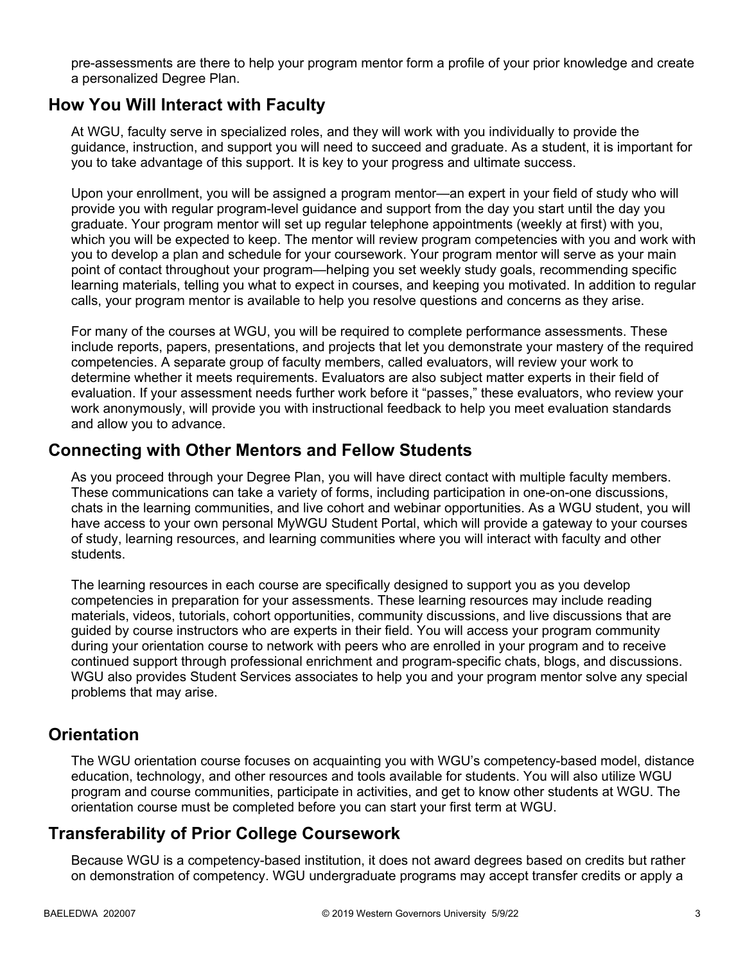pre-assessments are there to help your program mentor form a profile of your prior knowledge and create a personalized Degree Plan.

### **How You Will Interact with Faculty**

At WGU, faculty serve in specialized roles, and they will work with you individually to provide the guidance, instruction, and support you will need to succeed and graduate. As a student, it is important for you to take advantage of this support. It is key to your progress and ultimate success.

Upon your enrollment, you will be assigned a program mentor—an expert in your field of study who will provide you with regular program-level guidance and support from the day you start until the day you graduate. Your program mentor will set up regular telephone appointments (weekly at first) with you, which you will be expected to keep. The mentor will review program competencies with you and work with you to develop a plan and schedule for your coursework. Your program mentor will serve as your main point of contact throughout your program—helping you set weekly study goals, recommending specific learning materials, telling you what to expect in courses, and keeping you motivated. In addition to regular calls, your program mentor is available to help you resolve questions and concerns as they arise.

For many of the courses at WGU, you will be required to complete performance assessments. These include reports, papers, presentations, and projects that let you demonstrate your mastery of the required competencies. A separate group of faculty members, called evaluators, will review your work to determine whether it meets requirements. Evaluators are also subject matter experts in their field of evaluation. If your assessment needs further work before it "passes," these evaluators, who review your work anonymously, will provide you with instructional feedback to help you meet evaluation standards and allow you to advance.

### **Connecting with Other Mentors and Fellow Students**

As you proceed through your Degree Plan, you will have direct contact with multiple faculty members. These communications can take a variety of forms, including participation in one-on-one discussions, chats in the learning communities, and live cohort and webinar opportunities. As a WGU student, you will have access to your own personal MyWGU Student Portal, which will provide a gateway to your courses of study, learning resources, and learning communities where you will interact with faculty and other students.

The learning resources in each course are specifically designed to support you as you develop competencies in preparation for your assessments. These learning resources may include reading materials, videos, tutorials, cohort opportunities, community discussions, and live discussions that are guided by course instructors who are experts in their field. You will access your program community during your orientation course to network with peers who are enrolled in your program and to receive continued support through professional enrichment and program-specific chats, blogs, and discussions. WGU also provides Student Services associates to help you and your program mentor solve any special problems that may arise.

### **Orientation**

The WGU orientation course focuses on acquainting you with WGU's competency-based model, distance education, technology, and other resources and tools available for students. You will also utilize WGU program and course communities, participate in activities, and get to know other students at WGU. The orientation course must be completed before you can start your first term at WGU.

### **Transferability of Prior College Coursework**

Because WGU is a competency-based institution, it does not award degrees based on credits but rather on demonstration of competency. WGU undergraduate programs may accept transfer credits or apply a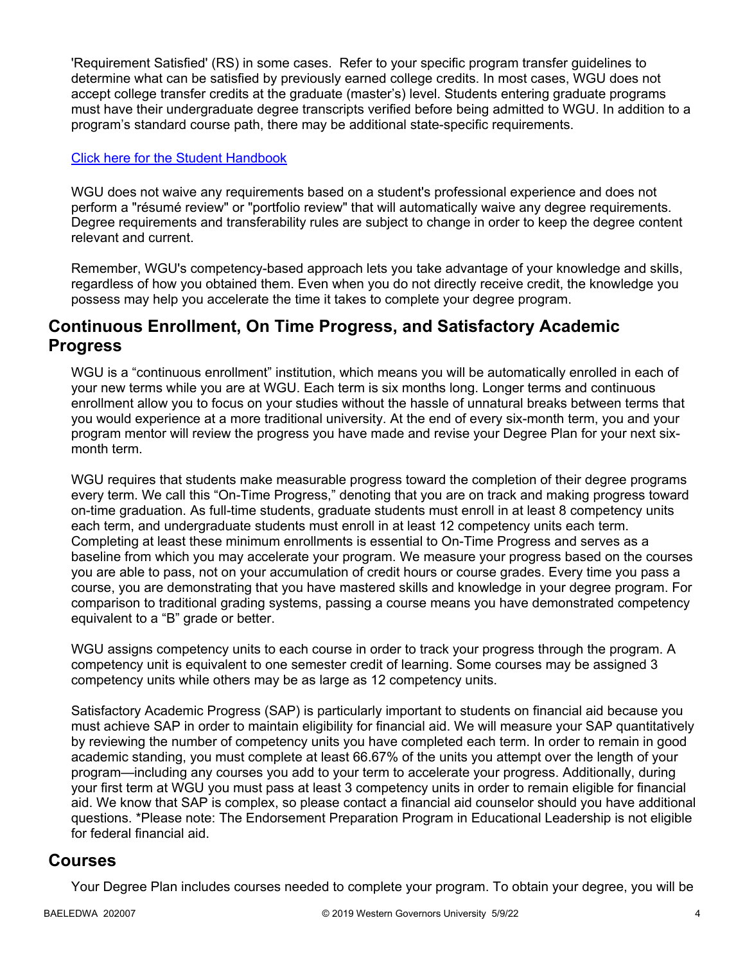'Requirement Satisfied' (RS) in some cases. Refer to your specific program transfer guidelines to determine what can be satisfied by previously earned college credits. In most cases, WGU does not accept college transfer credits at the graduate (master's) level. Students entering graduate programs must have their undergraduate degree transcripts verified before being admitted to WGU. In addition to a program's standard course path, there may be additional state-specific requirements.

#### [Click here for the Student Handbook](http://cm.wgu.edu/)

WGU does not waive any requirements based on a student's professional experience and does not perform a "résumé review" or "portfolio review" that will automatically waive any degree requirements. Degree requirements and transferability rules are subject to change in order to keep the degree content relevant and current.

Remember, WGU's competency-based approach lets you take advantage of your knowledge and skills, regardless of how you obtained them. Even when you do not directly receive credit, the knowledge you possess may help you accelerate the time it takes to complete your degree program.

### **Continuous Enrollment, On Time Progress, and Satisfactory Academic Progress**

WGU is a "continuous enrollment" institution, which means you will be automatically enrolled in each of your new terms while you are at WGU. Each term is six months long. Longer terms and continuous enrollment allow you to focus on your studies without the hassle of unnatural breaks between terms that you would experience at a more traditional university. At the end of every six-month term, you and your program mentor will review the progress you have made and revise your Degree Plan for your next sixmonth term.

WGU requires that students make measurable progress toward the completion of their degree programs every term. We call this "On-Time Progress," denoting that you are on track and making progress toward on-time graduation. As full-time students, graduate students must enroll in at least 8 competency units each term, and undergraduate students must enroll in at least 12 competency units each term. Completing at least these minimum enrollments is essential to On-Time Progress and serves as a baseline from which you may accelerate your program. We measure your progress based on the courses you are able to pass, not on your accumulation of credit hours or course grades. Every time you pass a course, you are demonstrating that you have mastered skills and knowledge in your degree program. For comparison to traditional grading systems, passing a course means you have demonstrated competency equivalent to a "B" grade or better.

WGU assigns competency units to each course in order to track your progress through the program. A competency unit is equivalent to one semester credit of learning. Some courses may be assigned 3 competency units while others may be as large as 12 competency units.

Satisfactory Academic Progress (SAP) is particularly important to students on financial aid because you must achieve SAP in order to maintain eligibility for financial aid. We will measure your SAP quantitatively by reviewing the number of competency units you have completed each term. In order to remain in good academic standing, you must complete at least 66.67% of the units you attempt over the length of your program—including any courses you add to your term to accelerate your progress. Additionally, during your first term at WGU you must pass at least 3 competency units in order to remain eligible for financial aid. We know that SAP is complex, so please contact a financial aid counselor should you have additional questions. \*Please note: The Endorsement Preparation Program in Educational Leadership is not eligible for federal financial aid.

### **Courses**

Your Degree Plan includes courses needed to complete your program. To obtain your degree, you will be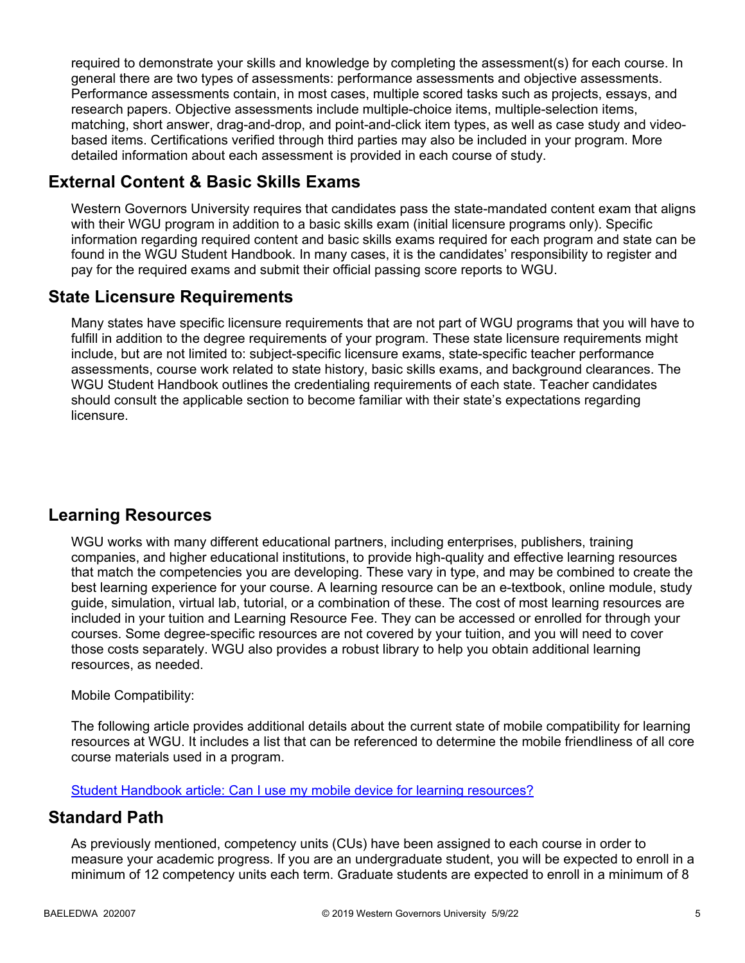required to demonstrate your skills and knowledge by completing the assessment(s) for each course. In general there are two types of assessments: performance assessments and objective assessments. Performance assessments contain, in most cases, multiple scored tasks such as projects, essays, and research papers. Objective assessments include multiple-choice items, multiple-selection items, matching, short answer, drag-and-drop, and point-and-click item types, as well as case study and videobased items. Certifications verified through third parties may also be included in your program. More detailed information about each assessment is provided in each course of study.

## **External Content & Basic Skills Exams**

Western Governors University requires that candidates pass the state-mandated content exam that aligns with their WGU program in addition to a basic skills exam (initial licensure programs only). Specific information regarding required content and basic skills exams required for each program and state can be found in the WGU Student Handbook. In many cases, it is the candidates' responsibility to register and pay for the required exams and submit their official passing score reports to WGU.

## **State Licensure Requirements**

Many states have specific licensure requirements that are not part of WGU programs that you will have to fulfill in addition to the degree requirements of your program. These state licensure requirements might include, but are not limited to: subject-specific licensure exams, state-specific teacher performance assessments, course work related to state history, basic skills exams, and background clearances. The WGU Student Handbook outlines the credentialing requirements of each state. Teacher candidates should consult the applicable section to become familiar with their state's expectations regarding licensure.

## **Learning Resources**

WGU works with many different educational partners, including enterprises, publishers, training companies, and higher educational institutions, to provide high-quality and effective learning resources that match the competencies you are developing. These vary in type, and may be combined to create the best learning experience for your course. A learning resource can be an e-textbook, online module, study guide, simulation, virtual lab, tutorial, or a combination of these. The cost of most learning resources are included in your tuition and Learning Resource Fee. They can be accessed or enrolled for through your courses. Some degree-specific resources are not covered by your tuition, and you will need to cover those costs separately. WGU also provides a robust library to help you obtain additional learning resources, as needed.

#### Mobile Compatibility:

The following article provides additional details about the current state of mobile compatibility for learning resources at WGU. It includes a list that can be referenced to determine the mobile friendliness of all core course materials used in a program.

[Student Handbook article: Can I use my mobile device for learning resources?](https://cm.wgu.edu/t5/Frequently-Asked-Questions/Can-I-use-my-mobile-device-for-learning-resources/ta-p/396)

### **Standard Path**

As previously mentioned, competency units (CUs) have been assigned to each course in order to measure your academic progress. If you are an undergraduate student, you will be expected to enroll in a minimum of 12 competency units each term. Graduate students are expected to enroll in a minimum of 8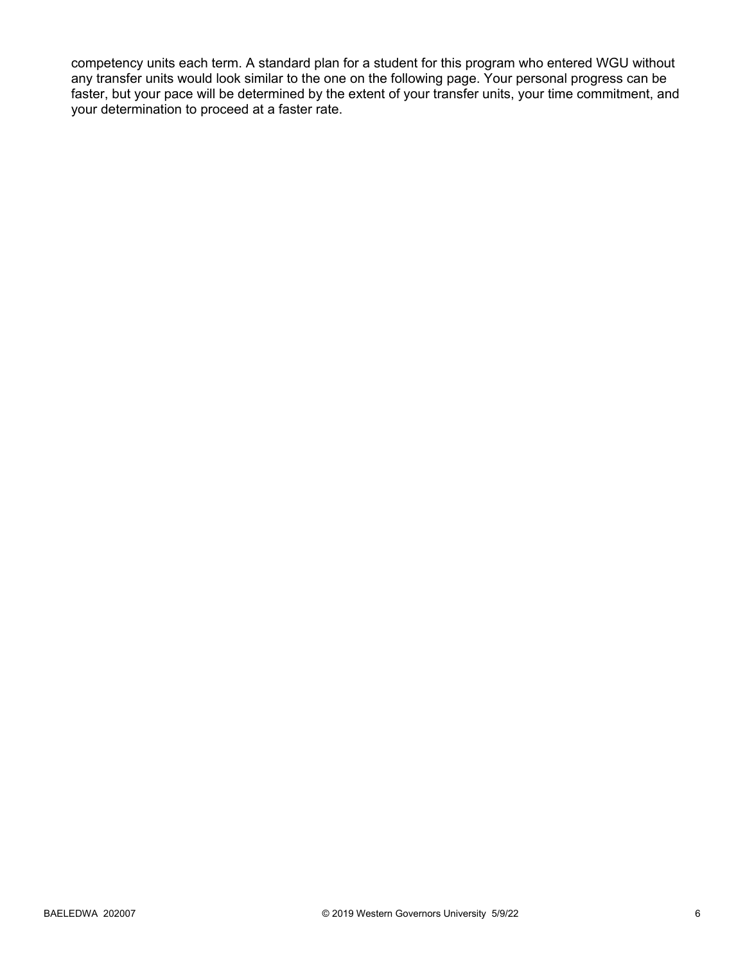competency units each term. A standard plan for a student for this program who entered WGU without any transfer units would look similar to the one on the following page. Your personal progress can be faster, but your pace will be determined by the extent of your transfer units, your time commitment, and your determination to proceed at a faster rate.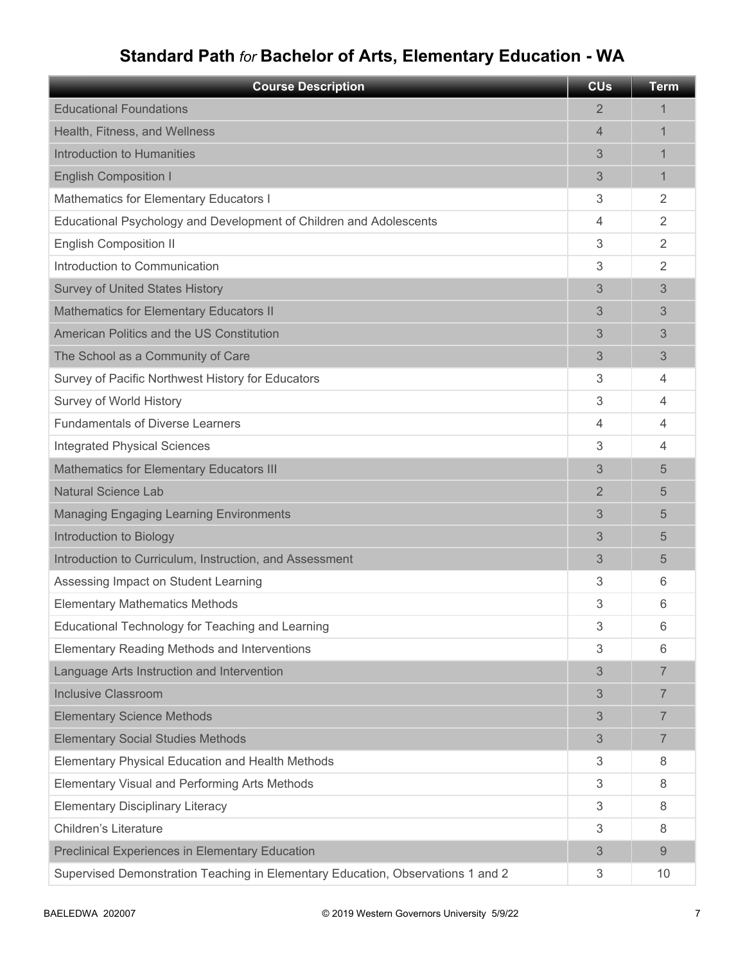# **Standard Path** *for* **Bachelor of Arts, Elementary Education - WA**

| <b>Course Description</b>                                                       | <b>CU<sub>s</sub></b> | <b>Term</b>    |
|---------------------------------------------------------------------------------|-----------------------|----------------|
| <b>Educational Foundations</b>                                                  | 2                     | 1              |
| Health, Fitness, and Wellness                                                   | 4                     | 1              |
| Introduction to Humanities                                                      | 3                     | 1              |
| <b>English Composition I</b>                                                    | 3                     | 1              |
| Mathematics for Elementary Educators I                                          | 3                     | 2              |
| Educational Psychology and Development of Children and Adolescents              | 4                     | $\overline{2}$ |
| <b>English Composition II</b>                                                   | 3                     | $\overline{2}$ |
| Introduction to Communication                                                   | 3                     | 2              |
| <b>Survey of United States History</b>                                          | 3                     | 3              |
| <b>Mathematics for Elementary Educators II</b>                                  | 3                     | 3              |
| American Politics and the US Constitution                                       | 3                     | 3              |
| The School as a Community of Care                                               | 3                     | 3              |
| Survey of Pacific Northwest History for Educators                               | 3                     | 4              |
| Survey of World History                                                         | 3                     | 4              |
| <b>Fundamentals of Diverse Learners</b>                                         | 4                     | 4              |
| <b>Integrated Physical Sciences</b>                                             | 3                     | 4              |
| <b>Mathematics for Elementary Educators III</b>                                 | 3                     | 5              |
| <b>Natural Science Lab</b>                                                      | 2                     | 5              |
| <b>Managing Engaging Learning Environments</b>                                  | 3                     | 5              |
| Introduction to Biology                                                         | 3                     | 5              |
| Introduction to Curriculum, Instruction, and Assessment                         | 3                     | 5              |
| Assessing Impact on Student Learning                                            | 3                     | 6              |
| <b>Elementary Mathematics Methods</b>                                           | 3                     | 6              |
| Educational Technology for Teaching and Learning                                | 3                     | 6              |
| <b>Elementary Reading Methods and Interventions</b>                             | 3                     | 6              |
| Language Arts Instruction and Intervention                                      | 3                     | $\overline{7}$ |
| <b>Inclusive Classroom</b>                                                      | 3                     | $\overline{7}$ |
| <b>Elementary Science Methods</b>                                               | 3                     | $\overline{7}$ |
| <b>Elementary Social Studies Methods</b>                                        | 3                     | $\overline{7}$ |
| Elementary Physical Education and Health Methods                                | 3                     | 8              |
| Elementary Visual and Performing Arts Methods                                   | 3                     | 8              |
| <b>Elementary Disciplinary Literacy</b>                                         | 3                     | 8              |
| <b>Children's Literature</b>                                                    | 3                     | 8              |
| <b>Preclinical Experiences in Elementary Education</b>                          | 3                     | 9              |
| Supervised Demonstration Teaching in Elementary Education, Observations 1 and 2 | 3                     | 10             |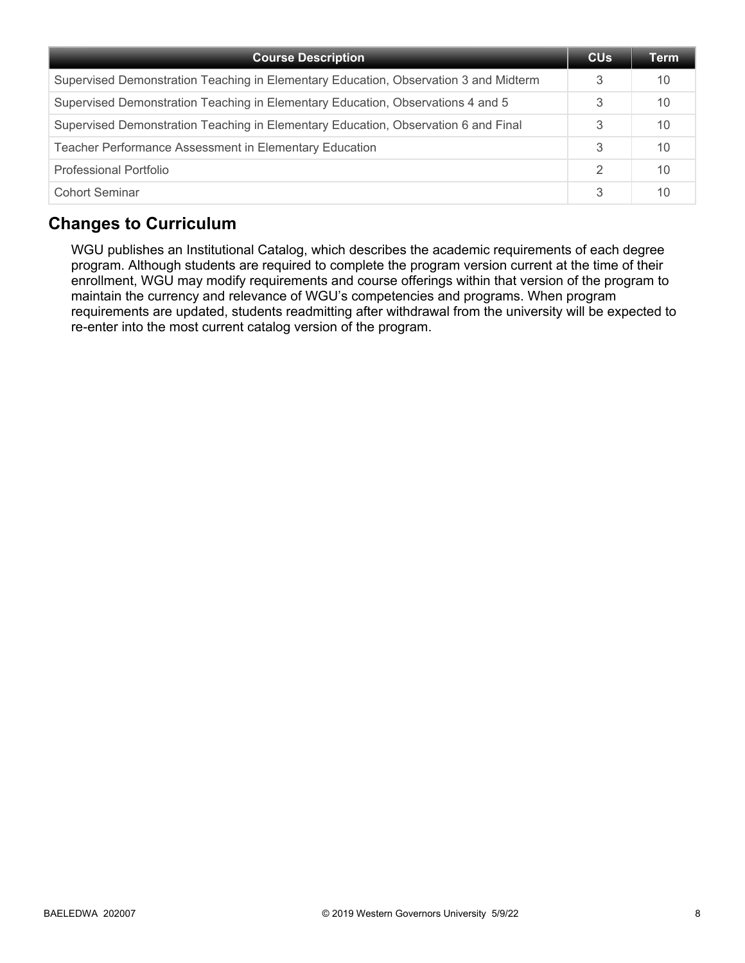| <b>Course Description</b>                                                            | <b>CU<sub>s</sub></b> | Term |
|--------------------------------------------------------------------------------------|-----------------------|------|
| Supervised Demonstration Teaching in Elementary Education, Observation 3 and Midterm | 3                     | 10   |
| Supervised Demonstration Teaching in Elementary Education, Observations 4 and 5      | 3                     | 10   |
| Supervised Demonstration Teaching in Elementary Education, Observation 6 and Final   | 3                     | 10   |
| Teacher Performance Assessment in Elementary Education                               | 3                     | 10   |
| Professional Portfolio                                                               | $\mathcal{P}$         | 10   |
| <b>Cohort Seminar</b>                                                                | 3                     | 10   |

## **Changes to Curriculum**

WGU publishes an Institutional Catalog, which describes the academic requirements of each degree program. Although students are required to complete the program version current at the time of their enrollment, WGU may modify requirements and course offerings within that version of the program to maintain the currency and relevance of WGU's competencies and programs. When program requirements are updated, students readmitting after withdrawal from the university will be expected to re-enter into the most current catalog version of the program.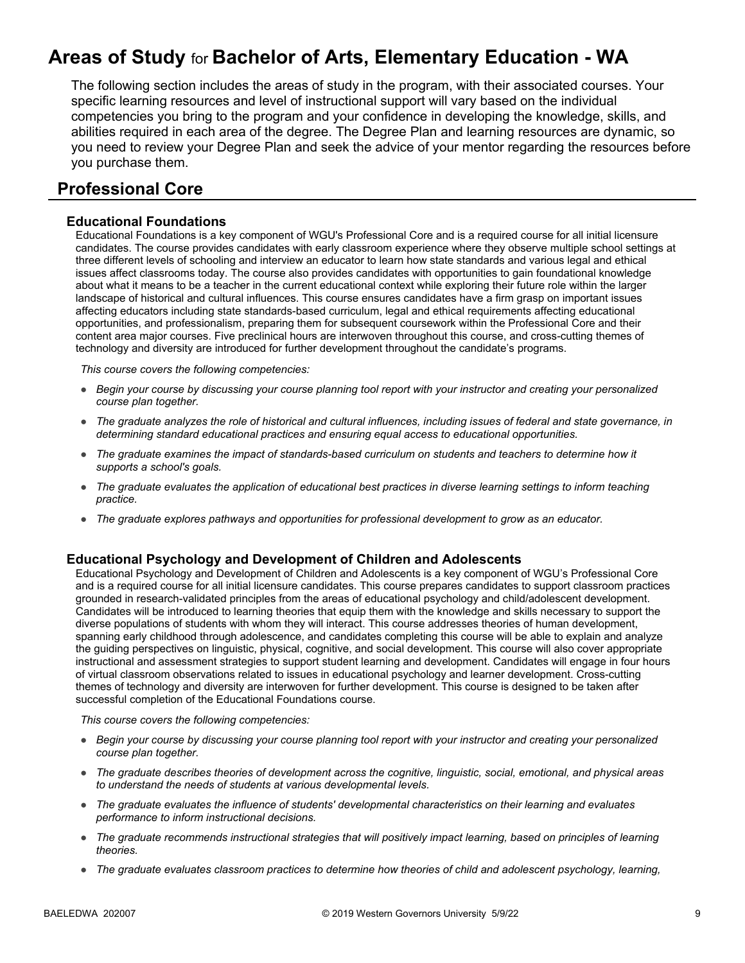# **Areas of Study** for **Bachelor of Arts, Elementary Education - WA**

The following section includes the areas of study in the program, with their associated courses. Your specific learning resources and level of instructional support will vary based on the individual competencies you bring to the program and your confidence in developing the knowledge, skills, and abilities required in each area of the degree. The Degree Plan and learning resources are dynamic, so you need to review your Degree Plan and seek the advice of your mentor regarding the resources before you purchase them.

### **Professional Core**

#### **Educational Foundations**

Educational Foundations is a key component of WGU's Professional Core and is a required course for all initial licensure candidates. The course provides candidates with early classroom experience where they observe multiple school settings at three different levels of schooling and interview an educator to learn how state standards and various legal and ethical issues affect classrooms today. The course also provides candidates with opportunities to gain foundational knowledge about what it means to be a teacher in the current educational context while exploring their future role within the larger landscape of historical and cultural influences. This course ensures candidates have a firm grasp on important issues affecting educators including state standards-based curriculum, legal and ethical requirements affecting educational opportunities, and professionalism, preparing them for subsequent coursework within the Professional Core and their content area major courses. Five preclinical hours are interwoven throughout this course, and cross-cutting themes of technology and diversity are introduced for further development throughout the candidate's programs.

*This course covers the following competencies:*

- *Begin your course by discussing your course planning tool report with your instructor and creating your personalized course plan together.*
- *The graduate analyzes the role of historical and cultural influences, including issues of federal and state governance, in determining standard educational practices and ensuring equal access to educational opportunities.*
- *The graduate examines the impact of standards-based curriculum on students and teachers to determine how it supports a school's goals.*
- *The graduate evaluates the application of educational best practices in diverse learning settings to inform teaching practice.*
- *The graduate explores pathways and opportunities for professional development to grow as an educator.*

#### **Educational Psychology and Development of Children and Adolescents**

Educational Psychology and Development of Children and Adolescents is a key component of WGU's Professional Core and is a required course for all initial licensure candidates. This course prepares candidates to support classroom practices grounded in research-validated principles from the areas of educational psychology and child/adolescent development. Candidates will be introduced to learning theories that equip them with the knowledge and skills necessary to support the diverse populations of students with whom they will interact. This course addresses theories of human development, spanning early childhood through adolescence, and candidates completing this course will be able to explain and analyze the guiding perspectives on linguistic, physical, cognitive, and social development. This course will also cover appropriate instructional and assessment strategies to support student learning and development. Candidates will engage in four hours of virtual classroom observations related to issues in educational psychology and learner development. Cross-cutting themes of technology and diversity are interwoven for further development. This course is designed to be taken after successful completion of the Educational Foundations course.

- *Begin your course by discussing your course planning tool report with your instructor and creating your personalized course plan together.*
- *The graduate describes theories of development across the cognitive, linguistic, social, emotional, and physical areas to understand the needs of students at various developmental levels.*
- *The graduate evaluates the influence of students' developmental characteristics on their learning and evaluates performance to inform instructional decisions.*
- *The graduate recommends instructional strategies that will positively impact learning, based on principles of learning theories.*
- *The graduate evaluates classroom practices to determine how theories of child and adolescent psychology, learning,*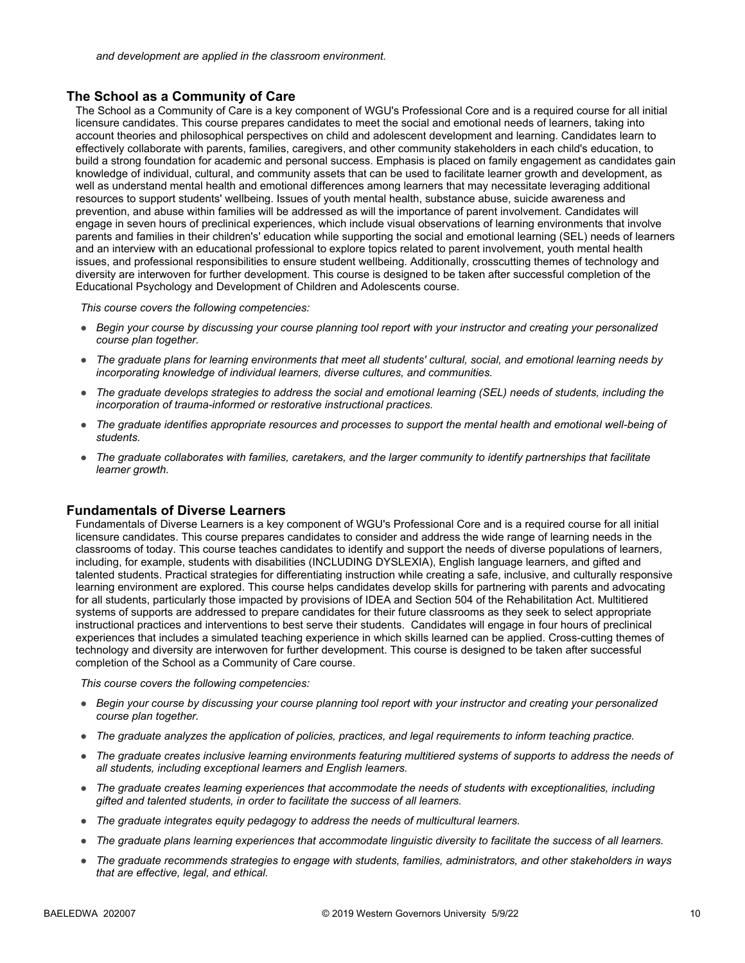#### **The School as a Community of Care**

The School as a Community of Care is a key component of WGU's Professional Core and is a required course for all initial licensure candidates. This course prepares candidates to meet the social and emotional needs of learners, taking into account theories and philosophical perspectives on child and adolescent development and learning. Candidates learn to effectively collaborate with parents, families, caregivers, and other community stakeholders in each child's education, to build a strong foundation for academic and personal success. Emphasis is placed on family engagement as candidates gain knowledge of individual, cultural, and community assets that can be used to facilitate learner growth and development, as well as understand mental health and emotional differences among learners that may necessitate leveraging additional resources to support students' wellbeing. Issues of youth mental health, substance abuse, suicide awareness and prevention, and abuse within families will be addressed as will the importance of parent involvement. Candidates will engage in seven hours of preclinical experiences, which include visual observations of learning environments that involve parents and families in their children's' education while supporting the social and emotional learning (SEL) needs of learners and an interview with an educational professional to explore topics related to parent involvement, youth mental health issues, and professional responsibilities to ensure student wellbeing. Additionally, crosscutting themes of technology and diversity are interwoven for further development. This course is designed to be taken after successful completion of the Educational Psychology and Development of Children and Adolescents course.

*This course covers the following competencies:*

- *Begin your course by discussing your course planning tool report with your instructor and creating your personalized course plan together.*
- *The graduate plans for learning environments that meet all students' cultural, social, and emotional learning needs by incorporating knowledge of individual learners, diverse cultures, and communities.*
- *The graduate develops strategies to address the social and emotional learning (SEL) needs of students, including the incorporation of trauma-informed or restorative instructional practices.*
- *The graduate identifies appropriate resources and processes to support the mental health and emotional well-being of students.*
- *The graduate collaborates with families, caretakers, and the larger community to identify partnerships that facilitate learner growth.*

#### **Fundamentals of Diverse Learners**

Fundamentals of Diverse Learners is a key component of WGU's Professional Core and is a required course for all initial licensure candidates. This course prepares candidates to consider and address the wide range of learning needs in the classrooms of today. This course teaches candidates to identify and support the needs of diverse populations of learners, including, for example, students with disabilities (INCLUDING DYSLEXIA), English language learners, and gifted and talented students. Practical strategies for differentiating instruction while creating a safe, inclusive, and culturally responsive learning environment are explored. This course helps candidates develop skills for partnering with parents and advocating for all students, particularly those impacted by provisions of IDEA and Section 504 of the Rehabilitation Act. Multitiered systems of supports are addressed to prepare candidates for their future classrooms as they seek to select appropriate instructional practices and interventions to best serve their students. Candidates will engage in four hours of preclinical experiences that includes a simulated teaching experience in which skills learned can be applied. Cross-cutting themes of technology and diversity are interwoven for further development. This course is designed to be taken after successful completion of the School as a Community of Care course.

- *Begin your course by discussing your course planning tool report with your instructor and creating your personalized course plan together.*
- *The graduate analyzes the application of policies, practices, and legal requirements to inform teaching practice.*
- *The graduate creates inclusive learning environments featuring multitiered systems of supports to address the needs of all students, including exceptional learners and English learners.*
- *The graduate creates learning experiences that accommodate the needs of students with exceptionalities, including gifted and talented students, in order to facilitate the success of all learners.*
- *The graduate integrates equity pedagogy to address the needs of multicultural learners.*
- *The graduate plans learning experiences that accommodate linguistic diversity to facilitate the success of all learners.*
- *The graduate recommends strategies to engage with students, families, administrators, and other stakeholders in ways that are effective, legal, and ethical.*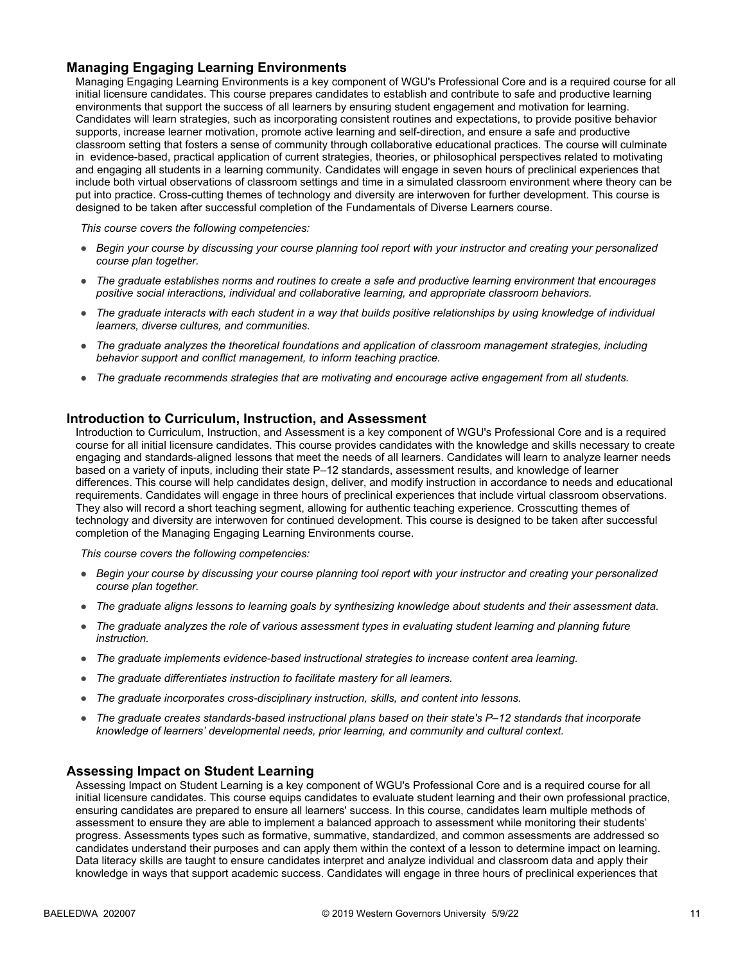#### **Managing Engaging Learning Environments**

Managing Engaging Learning Environments is a key component of WGU's Professional Core and is a required course for all initial licensure candidates. This course prepares candidates to establish and contribute to safe and productive learning environments that support the success of all learners by ensuring student engagement and motivation for learning. Candidates will learn strategies, such as incorporating consistent routines and expectations, to provide positive behavior supports, increase learner motivation, promote active learning and self-direction, and ensure a safe and productive classroom setting that fosters a sense of community through collaborative educational practices. The course will culminate in evidence-based, practical application of current strategies, theories, or philosophical perspectives related to motivating and engaging all students in a learning community. Candidates will engage in seven hours of preclinical experiences that include both virtual observations of classroom settings and time in a simulated classroom environment where theory can be put into practice. Cross-cutting themes of technology and diversity are interwoven for further development. This course is designed to be taken after successful completion of the Fundamentals of Diverse Learners course.

*This course covers the following competencies:*

- *Begin your course by discussing your course planning tool report with your instructor and creating your personalized course plan together.*
- *The graduate establishes norms and routines to create a safe and productive learning environment that encourages positive social interactions, individual and collaborative learning, and appropriate classroom behaviors.*
- *The graduate interacts with each student in a way that builds positive relationships by using knowledge of individual learners, diverse cultures, and communities.*
- *The graduate analyzes the theoretical foundations and application of classroom management strategies, including behavior support and conflict management, to inform teaching practice.*
- *The graduate recommends strategies that are motivating and encourage active engagement from all students.*

#### **Introduction to Curriculum, Instruction, and Assessment**

Introduction to Curriculum, Instruction, and Assessment is a key component of WGU's Professional Core and is a required course for all initial licensure candidates. This course provides candidates with the knowledge and skills necessary to create engaging and standards-aligned lessons that meet the needs of all learners. Candidates will learn to analyze learner needs based on a variety of inputs, including their state P–12 standards, assessment results, and knowledge of learner differences. This course will help candidates design, deliver, and modify instruction in accordance to needs and educational requirements. Candidates will engage in three hours of preclinical experiences that include virtual classroom observations. They also will record a short teaching segment, allowing for authentic teaching experience. Crosscutting themes of technology and diversity are interwoven for continued development. This course is designed to be taken after successful completion of the Managing Engaging Learning Environments course.

*This course covers the following competencies:*

- *Begin your course by discussing your course planning tool report with your instructor and creating your personalized course plan together.*
- *The graduate aligns lessons to learning goals by synthesizing knowledge about students and their assessment data.*
- *The graduate analyzes the role of various assessment types in evaluating student learning and planning future instruction.*
- *The graduate implements evidence-based instructional strategies to increase content area learning.*
- *The graduate differentiates instruction to facilitate mastery for all learners.*
- *The graduate incorporates cross-disciplinary instruction, skills, and content into lessons.*
- *The graduate creates standards-based instructional plans based on their state's P–12 standards that incorporate knowledge of learners' developmental needs, prior learning, and community and cultural context.*

#### **Assessing Impact on Student Learning**

Assessing Impact on Student Learning is a key component of WGU's Professional Core and is a required course for all initial licensure candidates. This course equips candidates to evaluate student learning and their own professional practice, ensuring candidates are prepared to ensure all learners' success. In this course, candidates learn multiple methods of assessment to ensure they are able to implement a balanced approach to assessment while monitoring their students' progress. Assessments types such as formative, summative, standardized, and common assessments are addressed so candidates understand their purposes and can apply them within the context of a lesson to determine impact on learning. Data literacy skills are taught to ensure candidates interpret and analyze individual and classroom data and apply their knowledge in ways that support academic success. Candidates will engage in three hours of preclinical experiences that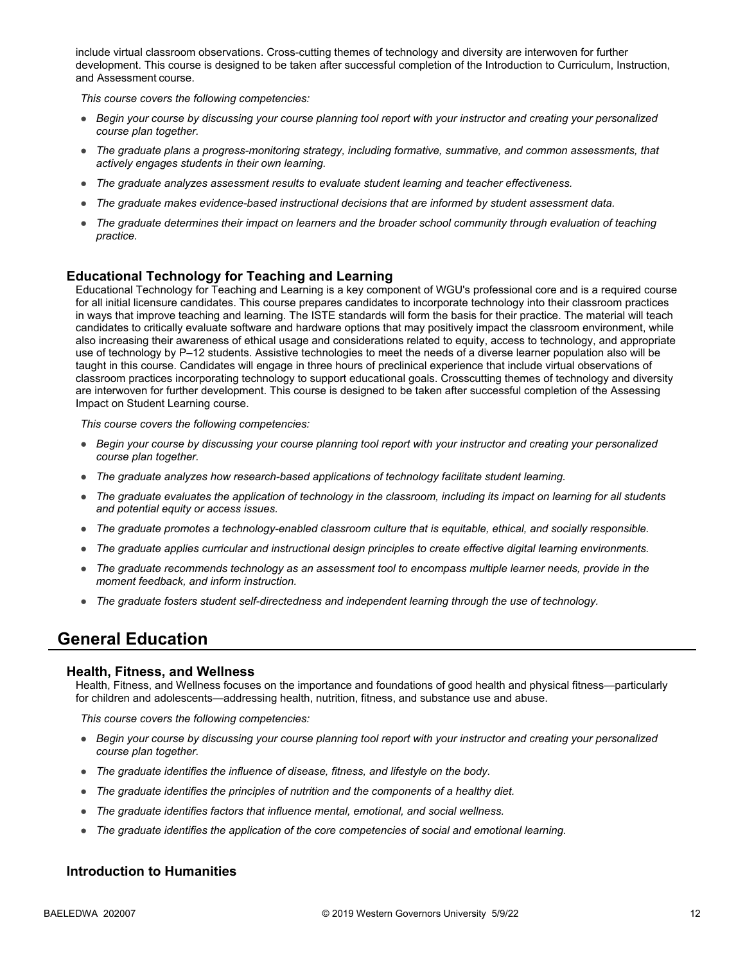include virtual classroom observations. Cross-cutting themes of technology and diversity are interwoven for further development. This course is designed to be taken after successful completion of the Introduction to Curriculum, Instruction, and Assessment course.

*This course covers the following competencies:*

- *Begin your course by discussing your course planning tool report with your instructor and creating your personalized course plan together.*
- *The graduate plans a progress-monitoring strategy, including formative, summative, and common assessments, that actively engages students in their own learning.*
- *The graduate analyzes assessment results to evaluate student learning and teacher effectiveness.*
- *The graduate makes evidence-based instructional decisions that are informed by student assessment data.*
- *The graduate determines their impact on learners and the broader school community through evaluation of teaching practice.*

#### **Educational Technology for Teaching and Learning**

Educational Technology for Teaching and Learning is a key component of WGU's professional core and is a required course for all initial licensure candidates. This course prepares candidates to incorporate technology into their classroom practices in ways that improve teaching and learning. The ISTE standards will form the basis for their practice. The material will teach candidates to critically evaluate software and hardware options that may positively impact the classroom environment, while also increasing their awareness of ethical usage and considerations related to equity, access to technology, and appropriate use of technology by P–12 students. Assistive technologies to meet the needs of a diverse learner population also will be taught in this course. Candidates will engage in three hours of preclinical experience that include virtual observations of classroom practices incorporating technology to support educational goals. Crosscutting themes of technology and diversity are interwoven for further development. This course is designed to be taken after successful completion of the Assessing Impact on Student Learning course.

*This course covers the following competencies:*

- *Begin your course by discussing your course planning tool report with your instructor and creating your personalized course plan together.*
- *The graduate analyzes how research-based applications of technology facilitate student learning.*
- *The graduate evaluates the application of technology in the classroom, including its impact on learning for all students and potential equity or access issues.*
- *The graduate promotes a technology-enabled classroom culture that is equitable, ethical, and socially responsible.*
- *The graduate applies curricular and instructional design principles to create effective digital learning environments.*
- *The graduate recommends technology as an assessment tool to encompass multiple learner needs, provide in the moment feedback, and inform instruction.*
- *The graduate fosters student self-directedness and independent learning through the use of technology.*

### **General Education**

#### **Health, Fitness, and Wellness**

Health, Fitness, and Wellness focuses on the importance and foundations of good health and physical fitness—particularly for children and adolescents—addressing health, nutrition, fitness, and substance use and abuse.

*This course covers the following competencies:*

- *Begin your course by discussing your course planning tool report with your instructor and creating your personalized course plan together.*
- *The graduate identifies the influence of disease, fitness, and lifestyle on the body.*
- The graduate identifies the principles of nutrition and the components of a healthy diet.
- *The graduate identifies factors that influence mental, emotional, and social wellness.*
- *The graduate identifies the application of the core competencies of social and emotional learning.*

#### **Introduction to Humanities**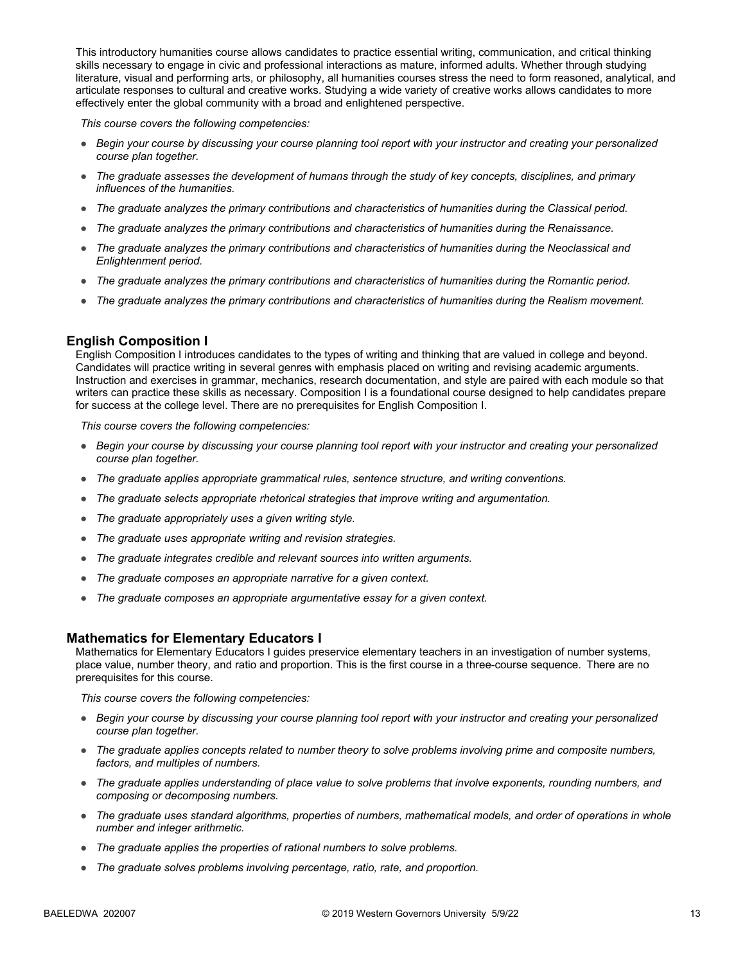This introductory humanities course allows candidates to practice essential writing, communication, and critical thinking skills necessary to engage in civic and professional interactions as mature, informed adults. Whether through studying literature, visual and performing arts, or philosophy, all humanities courses stress the need to form reasoned, analytical, and articulate responses to cultural and creative works. Studying a wide variety of creative works allows candidates to more effectively enter the global community with a broad and enlightened perspective.

*This course covers the following competencies:*

- *Begin your course by discussing your course planning tool report with your instructor and creating your personalized course plan together.*
- *The graduate assesses the development of humans through the study of key concepts, disciplines, and primary influences of the humanities.*
- *The graduate analyzes the primary contributions and characteristics of humanities during the Classical period.*
- *The graduate analyzes the primary contributions and characteristics of humanities during the Renaissance.*
- *The graduate analyzes the primary contributions and characteristics of humanities during the Neoclassical and Enlightenment period.*
- *The graduate analyzes the primary contributions and characteristics of humanities during the Romantic period.*
- *The graduate analyzes the primary contributions and characteristics of humanities during the Realism movement.*

#### **English Composition I**

English Composition I introduces candidates to the types of writing and thinking that are valued in college and beyond. Candidates will practice writing in several genres with emphasis placed on writing and revising academic arguments. Instruction and exercises in grammar, mechanics, research documentation, and style are paired with each module so that writers can practice these skills as necessary. Composition I is a foundational course designed to help candidates prepare for success at the college level. There are no prerequisites for English Composition I.

*This course covers the following competencies:*

- *Begin your course by discussing your course planning tool report with your instructor and creating your personalized course plan together.*
- *The graduate applies appropriate grammatical rules, sentence structure, and writing conventions.*
- *The graduate selects appropriate rhetorical strategies that improve writing and argumentation.*
- *The graduate appropriately uses a given writing style.*
- *The graduate uses appropriate writing and revision strategies.*
- *The graduate integrates credible and relevant sources into written arguments.*
- *The graduate composes an appropriate narrative for a given context.*
- *The graduate composes an appropriate argumentative essay for a given context.*

#### **Mathematics for Elementary Educators I**

Mathematics for Elementary Educators I guides preservice elementary teachers in an investigation of number systems, place value, number theory, and ratio and proportion. This is the first course in a three-course sequence. There are no prerequisites for this course.

- *Begin your course by discussing your course planning tool report with your instructor and creating your personalized course plan together.*
- *The graduate applies concepts related to number theory to solve problems involving prime and composite numbers, factors, and multiples of numbers.*
- *The graduate applies understanding of place value to solve problems that involve exponents, rounding numbers, and composing or decomposing numbers.*
- *The graduate uses standard algorithms, properties of numbers, mathematical models, and order of operations in whole number and integer arithmetic.*
- *The graduate applies the properties of rational numbers to solve problems.*
- *The graduate solves problems involving percentage, ratio, rate, and proportion.*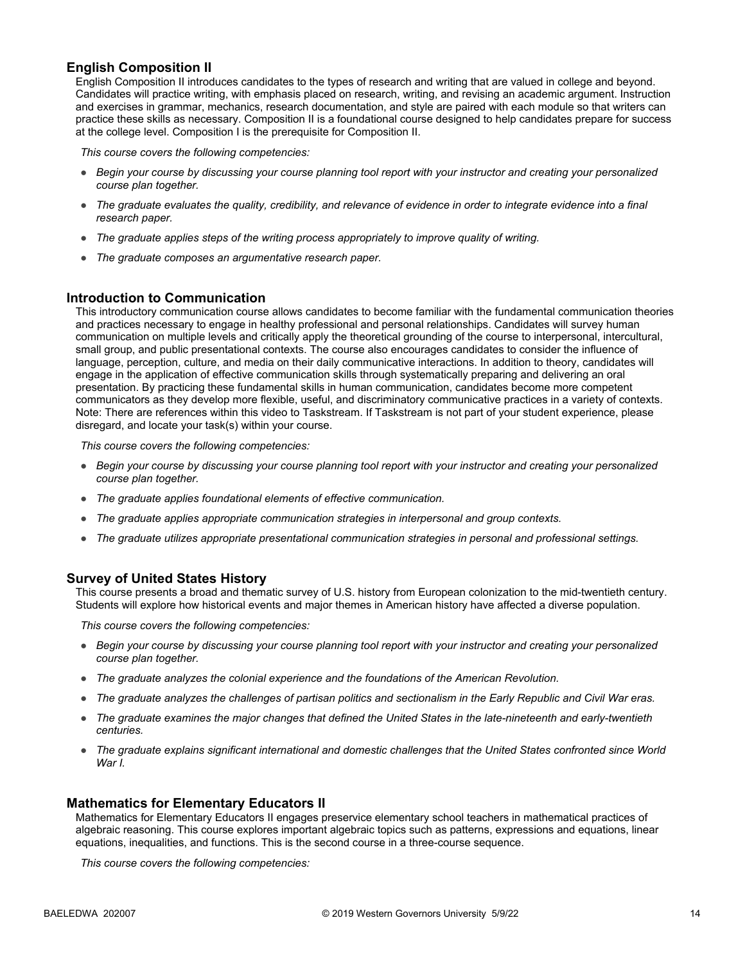#### **English Composition II**

English Composition II introduces candidates to the types of research and writing that are valued in college and beyond. Candidates will practice writing, with emphasis placed on research, writing, and revising an academic argument. Instruction and exercises in grammar, mechanics, research documentation, and style are paired with each module so that writers can practice these skills as necessary. Composition II is a foundational course designed to help candidates prepare for success at the college level. Composition I is the prerequisite for Composition II.

*This course covers the following competencies:*

- *Begin your course by discussing your course planning tool report with your instructor and creating your personalized course plan together.*
- *The graduate evaluates the quality, credibility, and relevance of evidence in order to integrate evidence into a final research paper.*
- *The graduate applies steps of the writing process appropriately to improve quality of writing.*
- *The graduate composes an argumentative research paper.*

#### **Introduction to Communication**

This introductory communication course allows candidates to become familiar with the fundamental communication theories and practices necessary to engage in healthy professional and personal relationships. Candidates will survey human communication on multiple levels and critically apply the theoretical grounding of the course to interpersonal, intercultural, small group, and public presentational contexts. The course also encourages candidates to consider the influence of language, perception, culture, and media on their daily communicative interactions. In addition to theory, candidates will engage in the application of effective communication skills through systematically preparing and delivering an oral presentation. By practicing these fundamental skills in human communication, candidates become more competent communicators as they develop more flexible, useful, and discriminatory communicative practices in a variety of contexts. Note: There are references within this video to Taskstream. If Taskstream is not part of your student experience, please disregard, and locate your task(s) within your course.

*This course covers the following competencies:*

- *Begin your course by discussing your course planning tool report with your instructor and creating your personalized course plan together.*
- *The graduate applies foundational elements of effective communication.*
- *The graduate applies appropriate communication strategies in interpersonal and group contexts.*
- *The graduate utilizes appropriate presentational communication strategies in personal and professional settings.*

#### **Survey of United States History**

This course presents a broad and thematic survey of U.S. history from European colonization to the mid-twentieth century. Students will explore how historical events and major themes in American history have affected a diverse population.

*This course covers the following competencies:*

- *Begin your course by discussing your course planning tool report with your instructor and creating your personalized course plan together.*
- *The graduate analyzes the colonial experience and the foundations of the American Revolution.*
- *The graduate analyzes the challenges of partisan politics and sectionalism in the Early Republic and Civil War eras.*
- *The graduate examines the major changes that defined the United States in the late-nineteenth and early-twentieth centuries.*
- *The graduate explains significant international and domestic challenges that the United States confronted since World War I.*

#### **Mathematics for Elementary Educators II**

Mathematics for Elementary Educators II engages preservice elementary school teachers in mathematical practices of algebraic reasoning. This course explores important algebraic topics such as patterns, expressions and equations, linear equations, inequalities, and functions. This is the second course in a three-course sequence.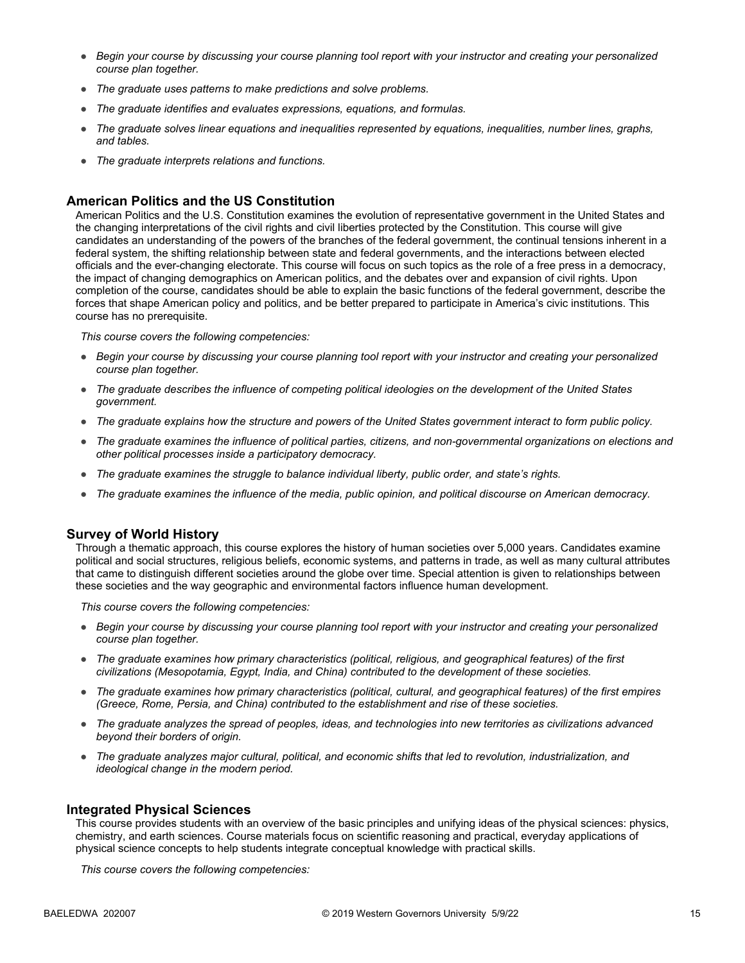- *Begin your course by discussing your course planning tool report with your instructor and creating your personalized course plan together.*
- *The graduate uses patterns to make predictions and solve problems.*
- *The graduate identifies and evaluates expressions, equations, and formulas.*
- *The graduate solves linear equations and inequalities represented by equations, inequalities, number lines, graphs, and tables.*
- *The graduate interprets relations and functions.*

#### **American Politics and the US Constitution**

American Politics and the U.S. Constitution examines the evolution of representative government in the United States and the changing interpretations of the civil rights and civil liberties protected by the Constitution. This course will give candidates an understanding of the powers of the branches of the federal government, the continual tensions inherent in a federal system, the shifting relationship between state and federal governments, and the interactions between elected officials and the ever-changing electorate. This course will focus on such topics as the role of a free press in a democracy, the impact of changing demographics on American politics, and the debates over and expansion of civil rights. Upon completion of the course, candidates should be able to explain the basic functions of the federal government, describe the forces that shape American policy and politics, and be better prepared to participate in America's civic institutions. This course has no prerequisite.

*This course covers the following competencies:*

- *Begin your course by discussing your course planning tool report with your instructor and creating your personalized course plan together.*
- *The graduate describes the influence of competing political ideologies on the development of the United States government.*
- *The graduate explains how the structure and powers of the United States government interact to form public policy.*
- *The graduate examines the influence of political parties, citizens, and non-governmental organizations on elections and other political processes inside a participatory democracy.*
- *The graduate examines the struggle to balance individual liberty, public order, and state's rights.*
- *The graduate examines the influence of the media, public opinion, and political discourse on American democracy.*

#### **Survey of World History**

Through a thematic approach, this course explores the history of human societies over 5,000 years. Candidates examine political and social structures, religious beliefs, economic systems, and patterns in trade, as well as many cultural attributes that came to distinguish different societies around the globe over time. Special attention is given to relationships between these societies and the way geographic and environmental factors influence human development.

*This course covers the following competencies:*

- *Begin your course by discussing your course planning tool report with your instructor and creating your personalized course plan together.*
- *The graduate examines how primary characteristics (political, religious, and geographical features) of the first civilizations (Mesopotamia, Egypt, India, and China) contributed to the development of these societies.*
- *The graduate examines how primary characteristics (political, cultural, and geographical features) of the first empires (Greece, Rome, Persia, and China) contributed to the establishment and rise of these societies.*
- *The graduate analyzes the spread of peoples, ideas, and technologies into new territories as civilizations advanced beyond their borders of origin.*
- *The graduate analyzes major cultural, political, and economic shifts that led to revolution, industrialization, and ideological change in the modern period.*

#### **Integrated Physical Sciences**

This course provides students with an overview of the basic principles and unifying ideas of the physical sciences: physics, chemistry, and earth sciences. Course materials focus on scientific reasoning and practical, everyday applications of physical science concepts to help students integrate conceptual knowledge with practical skills.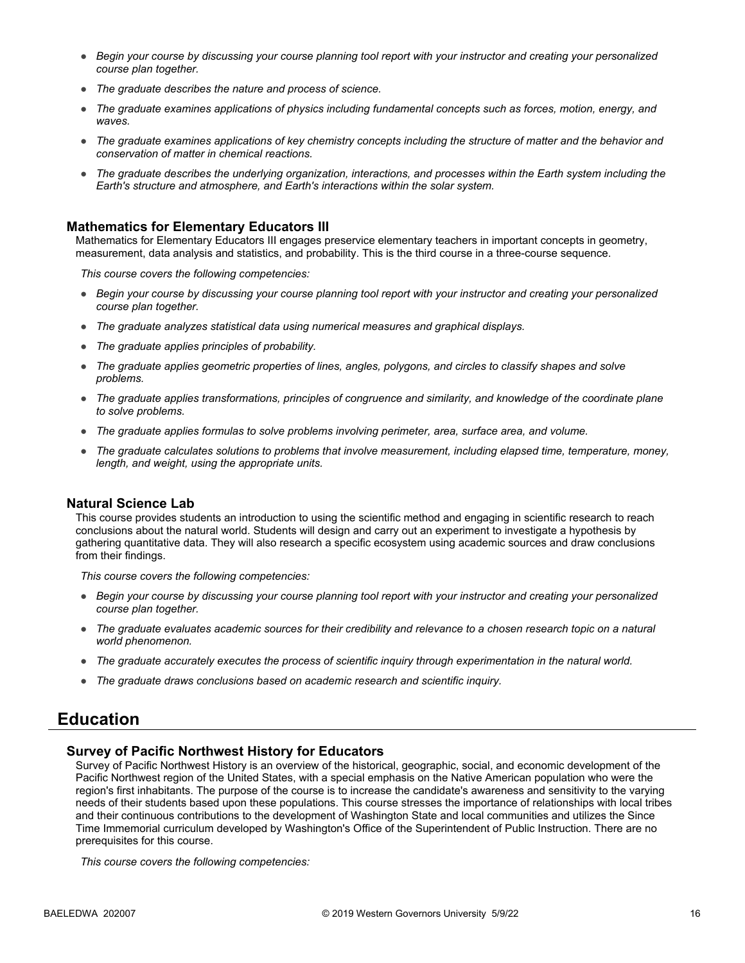- *Begin your course by discussing your course planning tool report with your instructor and creating your personalized course plan together.*
- *The graduate describes the nature and process of science.*
- *The graduate examines applications of physics including fundamental concepts such as forces, motion, energy, and waves.*
- *The graduate examines applications of key chemistry concepts including the structure of matter and the behavior and conservation of matter in chemical reactions.*
- *The graduate describes the underlying organization, interactions, and processes within the Earth system including the Earth's structure and atmosphere, and Earth's interactions within the solar system.*

#### **Mathematics for Elementary Educators III**

Mathematics for Elementary Educators III engages preservice elementary teachers in important concepts in geometry, measurement, data analysis and statistics, and probability. This is the third course in a three-course sequence.

*This course covers the following competencies:*

- *Begin your course by discussing your course planning tool report with your instructor and creating your personalized course plan together.*
- *The graduate analyzes statistical data using numerical measures and graphical displays.*
- *The graduate applies principles of probability.*
- *The graduate applies geometric properties of lines, angles, polygons, and circles to classify shapes and solve problems.*
- *The graduate applies transformations, principles of congruence and similarity, and knowledge of the coordinate plane to solve problems.*
- *The graduate applies formulas to solve problems involving perimeter, area, surface area, and volume.*
- *The graduate calculates solutions to problems that involve measurement, including elapsed time, temperature, money, length, and weight, using the appropriate units.*

#### **Natural Science Lab**

This course provides students an introduction to using the scientific method and engaging in scientific research to reach conclusions about the natural world. Students will design and carry out an experiment to investigate a hypothesis by gathering quantitative data. They will also research a specific ecosystem using academic sources and draw conclusions from their findings.

*This course covers the following competencies:*

- *Begin your course by discussing your course planning tool report with your instructor and creating your personalized course plan together.*
- The graduate evaluates academic sources for their credibility and relevance to a chosen research topic on a natural *world phenomenon.*
- *The graduate accurately executes the process of scientific inquiry through experimentation in the natural world.*
- *The graduate draws conclusions based on academic research and scientific inquiry.*

#### **Education**

#### **Survey of Pacific Northwest History for Educators**

Survey of Pacific Northwest History is an overview of the historical, geographic, social, and economic development of the Pacific Northwest region of the United States, with a special emphasis on the Native American population who were the region's first inhabitants. The purpose of the course is to increase the candidate's awareness and sensitivity to the varying needs of their students based upon these populations. This course stresses the importance of relationships with local tribes and their continuous contributions to the development of Washington State and local communities and utilizes the Since Time Immemorial curriculum developed by Washington's Office of the Superintendent of Public Instruction. There are no prerequisites for this course.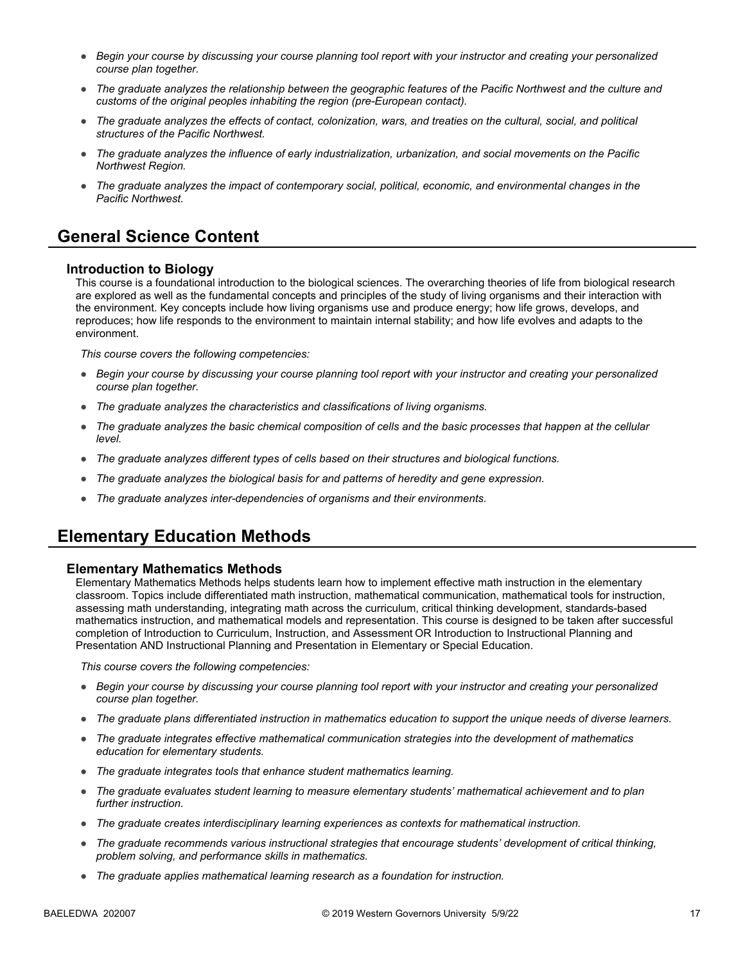- *Begin your course by discussing your course planning tool report with your instructor and creating your personalized course plan together.*
- *The graduate analyzes the relationship between the geographic features of the Pacific Northwest and the culture and customs of the original peoples inhabiting the region (pre-European contact).*
- *The graduate analyzes the effects of contact, colonization, wars, and treaties on the cultural, social, and political structures of the Pacific Northwest.*
- *The graduate analyzes the influence of early industrialization, urbanization, and social movements on the Pacific Northwest Region.*
- *The graduate analyzes the impact of contemporary social, political, economic, and environmental changes in the Pacific Northwest.*

## **General Science Content**

#### **Introduction to Biology**

This course is a foundational introduction to the biological sciences. The overarching theories of life from biological research are explored as well as the fundamental concepts and principles of the study of living organisms and their interaction with the environment. Key concepts include how living organisms use and produce energy; how life grows, develops, and reproduces; how life responds to the environment to maintain internal stability; and how life evolves and adapts to the environment.

*This course covers the following competencies:*

- *Begin your course by discussing your course planning tool report with your instructor and creating your personalized course plan together.*
- *The graduate analyzes the characteristics and classifications of living organisms.*
- *The graduate analyzes the basic chemical composition of cells and the basic processes that happen at the cellular level.*
- *The graduate analyzes different types of cells based on their structures and biological functions.*
- *The graduate analyzes the biological basis for and patterns of heredity and gene expression.*
- *The graduate analyzes inter-dependencies of organisms and their environments.*

### **Elementary Education Methods**

#### **Elementary Mathematics Methods**

Elementary Mathematics Methods helps students learn how to implement effective math instruction in the elementary classroom. Topics include differentiated math instruction, mathematical communication, mathematical tools for instruction, assessing math understanding, integrating math across the curriculum, critical thinking development, standards-based mathematics instruction, and mathematical models and representation. This course is designed to be taken after successful completion of Introduction to Curriculum, Instruction, and Assessment OR Introduction to Instructional Planning and Presentation AND Instructional Planning and Presentation in Elementary or Special Education.

- *Begin your course by discussing your course planning tool report with your instructor and creating your personalized course plan together.*
- *The graduate plans differentiated instruction in mathematics education to support the unique needs of diverse learners.*
- *The graduate integrates effective mathematical communication strategies into the development of mathematics education for elementary students.*
- *The graduate integrates tools that enhance student mathematics learning.*
- *The graduate evaluates student learning to measure elementary students' mathematical achievement and to plan further instruction.*
- *The graduate creates interdisciplinary learning experiences as contexts for mathematical instruction.*
- *The graduate recommends various instructional strategies that encourage students' development of critical thinking, problem solving, and performance skills in mathematics.*
- *The graduate applies mathematical learning research as a foundation for instruction.*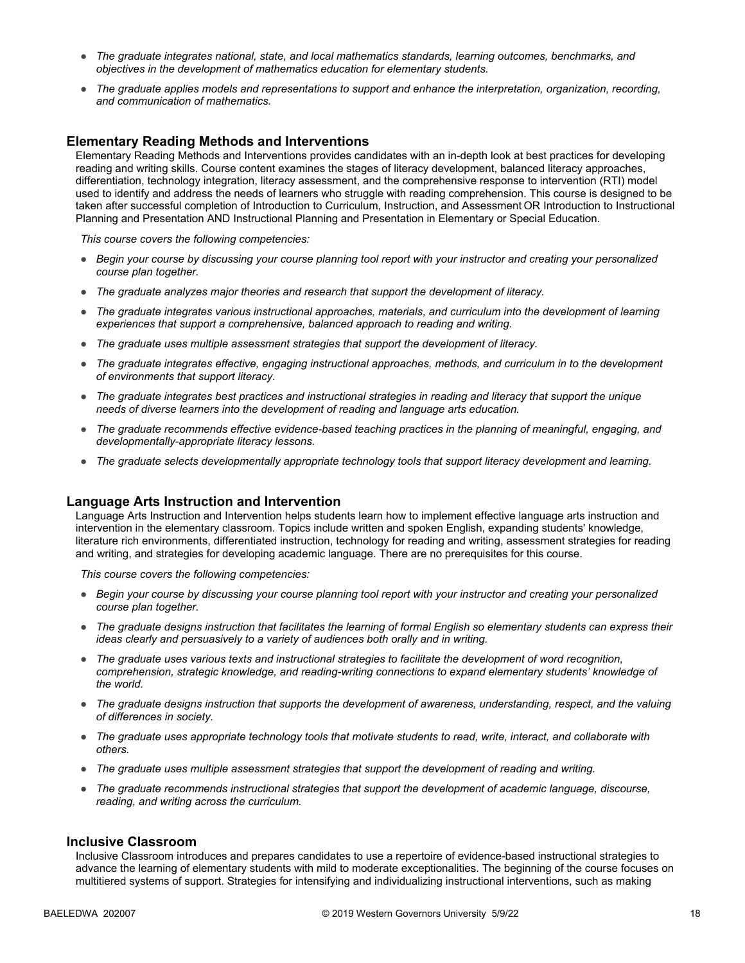- *The graduate integrates national, state, and local mathematics standards, learning outcomes, benchmarks, and objectives in the development of mathematics education for elementary students.*
- *The graduate applies models and representations to support and enhance the interpretation, organization, recording, and communication of mathematics.*

#### **Elementary Reading Methods and Interventions**

Elementary Reading Methods and Interventions provides candidates with an in-depth look at best practices for developing reading and writing skills. Course content examines the stages of literacy development, balanced literacy approaches, differentiation, technology integration, literacy assessment, and the comprehensive response to intervention (RTI) model used to identify and address the needs of learners who struggle with reading comprehension. This course is designed to be taken after successful completion of Introduction to Curriculum, Instruction, and Assessment OR Introduction to Instructional Planning and Presentation AND Instructional Planning and Presentation in Elementary or Special Education.

*This course covers the following competencies:*

- *Begin your course by discussing your course planning tool report with your instructor and creating your personalized course plan together.*
- *The graduate analyzes major theories and research that support the development of literacy.*
- *The graduate integrates various instructional approaches, materials, and curriculum into the development of learning experiences that support a comprehensive, balanced approach to reading and writing.*
- *The graduate uses multiple assessment strategies that support the development of literacy.*
- *The graduate integrates effective, engaging instructional approaches, methods, and curriculum in to the development of environments that support literacy.*
- *The graduate integrates best practices and instructional strategies in reading and literacy that support the unique needs of diverse learners into the development of reading and language arts education.*
- *The graduate recommends effective evidence-based teaching practices in the planning of meaningful, engaging, and developmentally-appropriate literacy lessons.*
- *The graduate selects developmentally appropriate technology tools that support literacy development and learning.*

#### **Language Arts Instruction and Intervention**

Language Arts Instruction and Intervention helps students learn how to implement effective language arts instruction and intervention in the elementary classroom. Topics include written and spoken English, expanding students' knowledge, literature rich environments, differentiated instruction, technology for reading and writing, assessment strategies for reading and writing, and strategies for developing academic language. There are no prerequisites for this course.

*This course covers the following competencies:*

- *Begin your course by discussing your course planning tool report with your instructor and creating your personalized course plan together.*
- *The graduate designs instruction that facilitates the learning of formal English so elementary students can express their ideas clearly and persuasively to a variety of audiences both orally and in writing.*
- *The graduate uses various texts and instructional strategies to facilitate the development of word recognition, comprehension, strategic knowledge, and reading-writing connections to expand elementary students' knowledge of the world.*
- *The graduate designs instruction that supports the development of awareness, understanding, respect, and the valuing of differences in society.*
- *The graduate uses appropriate technology tools that motivate students to read, write, interact, and collaborate with others.*
- *The graduate uses multiple assessment strategies that support the development of reading and writing.*
- *The graduate recommends instructional strategies that support the development of academic language, discourse, reading, and writing across the curriculum.*

#### **Inclusive Classroom**

Inclusive Classroom introduces and prepares candidates to use a repertoire of evidence-based instructional strategies to advance the learning of elementary students with mild to moderate exceptionalities. The beginning of the course focuses on multitiered systems of support. Strategies for intensifying and individualizing instructional interventions, such as making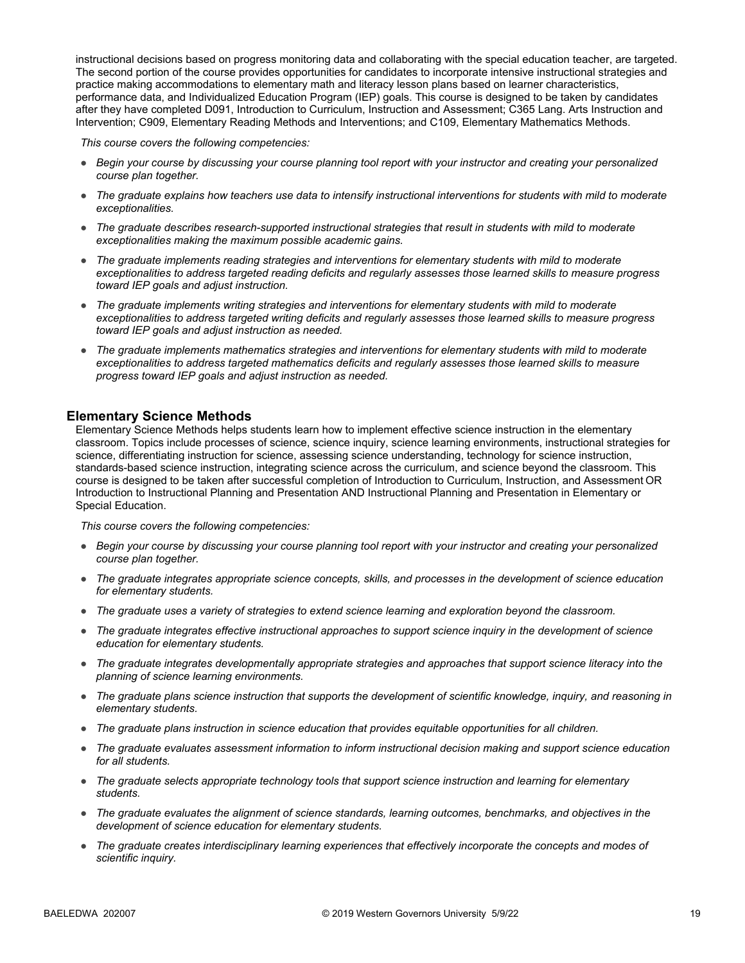instructional decisions based on progress monitoring data and collaborating with the special education teacher, are targeted. The second portion of the course provides opportunities for candidates to incorporate intensive instructional strategies and practice making accommodations to elementary math and literacy lesson plans based on learner characteristics, performance data, and Individualized Education Program (IEP) goals. This course is designed to be taken by candidates after they have completed D091, Introduction to Curriculum, Instruction and Assessment; C365 Lang. Arts Instruction and Intervention; C909, Elementary Reading Methods and Interventions; and C109, Elementary Mathematics Methods.

*This course covers the following competencies:*

- *Begin your course by discussing your course planning tool report with your instructor and creating your personalized course plan together.*
- *The graduate explains how teachers use data to intensify instructional interventions for students with mild to moderate exceptionalities.*
- *The graduate describes research-supported instructional strategies that result in students with mild to moderate exceptionalities making the maximum possible academic gains.*
- *The graduate implements reading strategies and interventions for elementary students with mild to moderate exceptionalities to address targeted reading deficits and regularly assesses those learned skills to measure progress toward IEP goals and adjust instruction.*
- *The graduate implements writing strategies and interventions for elementary students with mild to moderate exceptionalities to address targeted writing deficits and regularly assesses those learned skills to measure progress toward IEP goals and adjust instruction as needed.*
- *The graduate implements mathematics strategies and interventions for elementary students with mild to moderate*  exceptionalities to address targeted mathematics deficits and regularly assesses those learned skills to measure *progress toward IEP goals and adjust instruction as needed.*

#### **Elementary Science Methods**

Elementary Science Methods helps students learn how to implement effective science instruction in the elementary classroom. Topics include processes of science, science inquiry, science learning environments, instructional strategies for science, differentiating instruction for science, assessing science understanding, technology for science instruction, standards-based science instruction, integrating science across the curriculum, and science beyond the classroom. This course is designed to be taken after successful completion of Introduction to Curriculum, Instruction, and Assessment OR Introduction to Instructional Planning and Presentation AND Instructional Planning and Presentation in Elementary or Special Education.

- *Begin your course by discussing your course planning tool report with your instructor and creating your personalized course plan together.*
- *The graduate integrates appropriate science concepts, skills, and processes in the development of science education for elementary students.*
- *The graduate uses a variety of strategies to extend science learning and exploration beyond the classroom.*
- *The graduate integrates effective instructional approaches to support science inquiry in the development of science education for elementary students.*
- *The graduate integrates developmentally appropriate strategies and approaches that support science literacy into the planning of science learning environments.*
- *The graduate plans science instruction that supports the development of scientific knowledge, inquiry, and reasoning in elementary students.*
- *The graduate plans instruction in science education that provides equitable opportunities for all children.*
- *The graduate evaluates assessment information to inform instructional decision making and support science education for all students.*
- *The graduate selects appropriate technology tools that support science instruction and learning for elementary students.*
- *The graduate evaluates the alignment of science standards, learning outcomes, benchmarks, and objectives in the development of science education for elementary students.*
- *The graduate creates interdisciplinary learning experiences that effectively incorporate the concepts and modes of scientific inquiry.*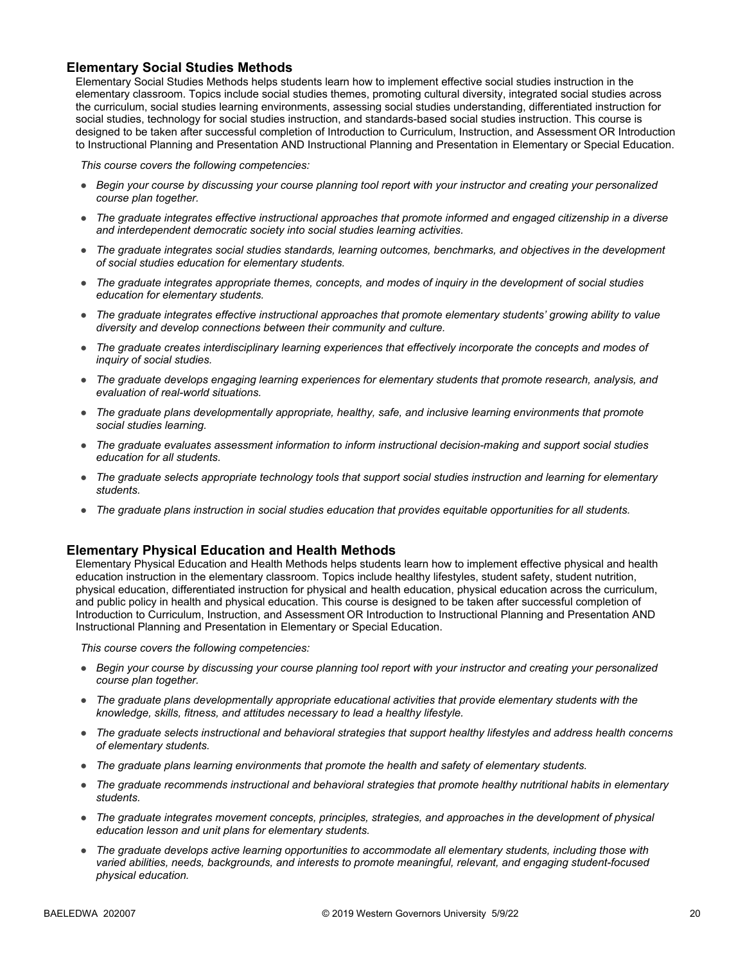#### **Elementary Social Studies Methods**

Elementary Social Studies Methods helps students learn how to implement effective social studies instruction in the elementary classroom. Topics include social studies themes, promoting cultural diversity, integrated social studies across the curriculum, social studies learning environments, assessing social studies understanding, differentiated instruction for social studies, technology for social studies instruction, and standards-based social studies instruction. This course is designed to be taken after successful completion of Introduction to Curriculum, Instruction, and Assessment OR Introduction to Instructional Planning and Presentation AND Instructional Planning and Presentation in Elementary or Special Education.

*This course covers the following competencies:*

- *Begin your course by discussing your course planning tool report with your instructor and creating your personalized course plan together.*
- *The graduate integrates effective instructional approaches that promote informed and engaged citizenship in a diverse and interdependent democratic society into social studies learning activities.*
- *The graduate integrates social studies standards, learning outcomes, benchmarks, and objectives in the development of social studies education for elementary students.*
- *The graduate integrates appropriate themes, concepts, and modes of inquiry in the development of social studies education for elementary students.*
- *The graduate integrates effective instructional approaches that promote elementary students' growing ability to value diversity and develop connections between their community and culture.*
- *The graduate creates interdisciplinary learning experiences that effectively incorporate the concepts and modes of inquiry of social studies.*
- *The graduate develops engaging learning experiences for elementary students that promote research, analysis, and evaluation of real-world situations.*
- *The graduate plans developmentally appropriate, healthy, safe, and inclusive learning environments that promote social studies learning.*
- *The graduate evaluates assessment information to inform instructional decision-making and support social studies education for all students.*
- *The graduate selects appropriate technology tools that support social studies instruction and learning for elementary students.*
- *The graduate plans instruction in social studies education that provides equitable opportunities for all students.*

#### **Elementary Physical Education and Health Methods**

Elementary Physical Education and Health Methods helps students learn how to implement effective physical and health education instruction in the elementary classroom. Topics include healthy lifestyles, student safety, student nutrition, physical education, differentiated instruction for physical and health education, physical education across the curriculum, and public policy in health and physical education. This course is designed to be taken after successful completion of Introduction to Curriculum, Instruction, and Assessment OR Introduction to Instructional Planning and Presentation AND Instructional Planning and Presentation in Elementary or Special Education.

- *Begin your course by discussing your course planning tool report with your instructor and creating your personalized course plan together.*
- *The graduate plans developmentally appropriate educational activities that provide elementary students with the knowledge, skills, fitness, and attitudes necessary to lead a healthy lifestyle.*
- *The graduate selects instructional and behavioral strategies that support healthy lifestyles and address health concerns of elementary students.*
- *The graduate plans learning environments that promote the health and safety of elementary students.*
- *The graduate recommends instructional and behavioral strategies that promote healthy nutritional habits in elementary students.*
- *The graduate integrates movement concepts, principles, strategies, and approaches in the development of physical education lesson and unit plans for elementary students.*
- *The graduate develops active learning opportunities to accommodate all elementary students, including those with varied abilities, needs, backgrounds, and interests to promote meaningful, relevant, and engaging student-focused physical education.*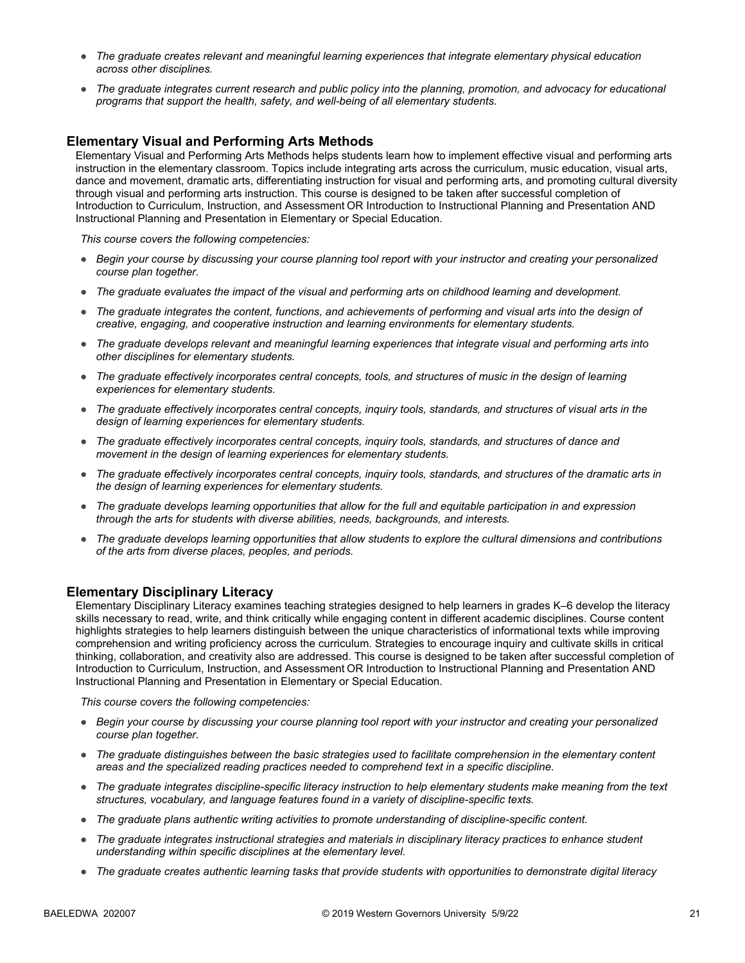- *The graduate creates relevant and meaningful learning experiences that integrate elementary physical education across other disciplines.*
- *The graduate integrates current research and public policy into the planning, promotion, and advocacy for educational programs that support the health, safety, and well-being of all elementary students.*

#### **Elementary Visual and Performing Arts Methods**

Elementary Visual and Performing Arts Methods helps students learn how to implement effective visual and performing arts instruction in the elementary classroom. Topics include integrating arts across the curriculum, music education, visual arts, dance and movement, dramatic arts, differentiating instruction for visual and performing arts, and promoting cultural diversity through visual and performing arts instruction. This course is designed to be taken after successful completion of Introduction to Curriculum, Instruction, and Assessment OR Introduction to Instructional Planning and Presentation AND Instructional Planning and Presentation in Elementary or Special Education.

*This course covers the following competencies:*

- *Begin your course by discussing your course planning tool report with your instructor and creating your personalized course plan together.*
- *The graduate evaluates the impact of the visual and performing arts on childhood learning and development.*
- *The graduate integrates the content, functions, and achievements of performing and visual arts into the design of creative, engaging, and cooperative instruction and learning environments for elementary students.*
- *The graduate develops relevant and meaningful learning experiences that integrate visual and performing arts into other disciplines for elementary students.*
- *The graduate effectively incorporates central concepts, tools, and structures of music in the design of learning experiences for elementary students.*
- *The graduate effectively incorporates central concepts, inquiry tools, standards, and structures of visual arts in the design of learning experiences for elementary students.*
- *The graduate effectively incorporates central concepts, inquiry tools, standards, and structures of dance and movement in the design of learning experiences for elementary students.*
- *The graduate effectively incorporates central concepts, inquiry tools, standards, and structures of the dramatic arts in the design of learning experiences for elementary students.*
- *The graduate develops learning opportunities that allow for the full and equitable participation in and expression through the arts for students with diverse abilities, needs, backgrounds, and interests.*
- *The graduate develops learning opportunities that allow students to explore the cultural dimensions and contributions of the arts from diverse places, peoples, and periods.*

#### **Elementary Disciplinary Literacy**

Elementary Disciplinary Literacy examines teaching strategies designed to help learners in grades K–6 develop the literacy skills necessary to read, write, and think critically while engaging content in different academic disciplines. Course content highlights strategies to help learners distinguish between the unique characteristics of informational texts while improving comprehension and writing proficiency across the curriculum. Strategies to encourage inquiry and cultivate skills in critical thinking, collaboration, and creativity also are addressed. This course is designed to be taken after successful completion of Introduction to Curriculum, Instruction, and Assessment OR Introduction to Instructional Planning and Presentation AND Instructional Planning and Presentation in Elementary or Special Education.

- *Begin your course by discussing your course planning tool report with your instructor and creating your personalized course plan together.*
- *The graduate distinguishes between the basic strategies used to facilitate comprehension in the elementary content areas and the specialized reading practices needed to comprehend text in a specific discipline.*
- *The graduate integrates discipline-specific literacy instruction to help elementary students make meaning from the text structures, vocabulary, and language features found in a variety of discipline-specific texts.*
- *The graduate plans authentic writing activities to promote understanding of discipline-specific content.*
- *The graduate integrates instructional strategies and materials in disciplinary literacy practices to enhance student understanding within specific disciplines at the elementary level.*
- *The graduate creates authentic learning tasks that provide students with opportunities to demonstrate digital literacy*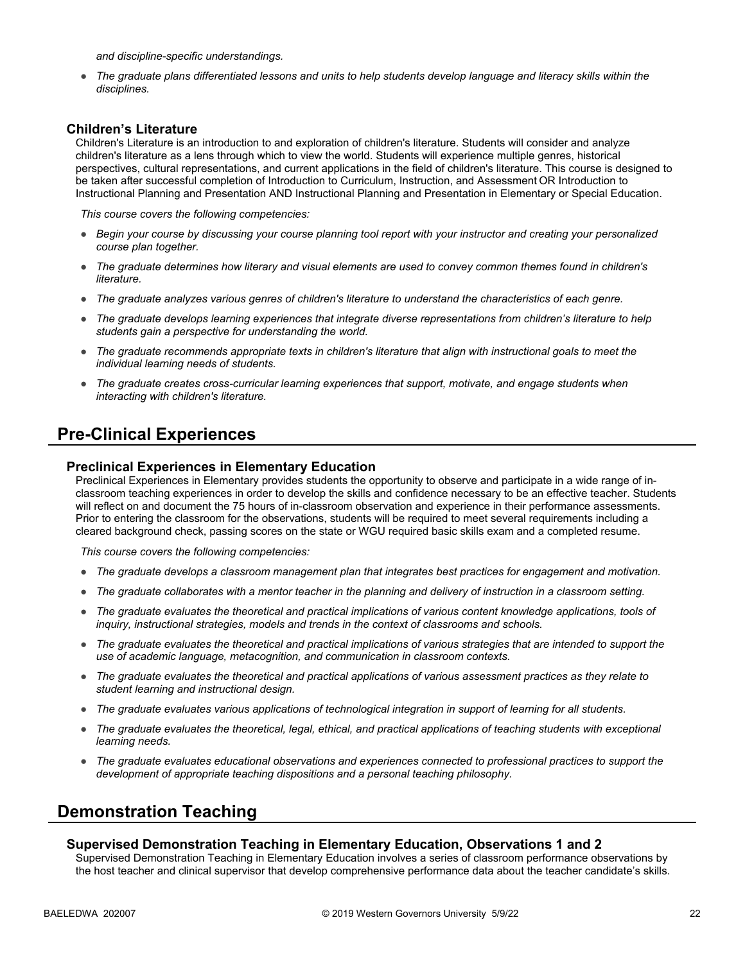*and discipline-specific understandings.* 

● *The graduate plans differentiated lessons and units to help students develop language and literacy skills within the disciplines.* 

#### **Children's Literature**

Children's Literature is an introduction to and exploration of children's literature. Students will consider and analyze children's literature as a lens through which to view the world. Students will experience multiple genres, historical perspectives, cultural representations, and current applications in the field of children's literature. This course is designed to be taken after successful completion of Introduction to Curriculum, Instruction, and Assessment OR Introduction to Instructional Planning and Presentation AND Instructional Planning and Presentation in Elementary or Special Education.

*This course covers the following competencies:*

- *Begin your course by discussing your course planning tool report with your instructor and creating your personalized course plan together.*
- *The graduate determines how literary and visual elements are used to convey common themes found in children's literature.*
- *The graduate analyzes various genres of children's literature to understand the characteristics of each genre.*
- *The graduate develops learning experiences that integrate diverse representations from children's literature to help students gain a perspective for understanding the world.*
- *The graduate recommends appropriate texts in children's literature that align with instructional goals to meet the individual learning needs of students.*
- *The graduate creates cross-curricular learning experiences that support, motivate, and engage students when interacting with children's literature.*

### **Pre-Clinical Experiences**

#### **Preclinical Experiences in Elementary Education**

Preclinical Experiences in Elementary provides students the opportunity to observe and participate in a wide range of inclassroom teaching experiences in order to develop the skills and confidence necessary to be an effective teacher. Students will reflect on and document the 75 hours of in-classroom observation and experience in their performance assessments. Prior to entering the classroom for the observations, students will be required to meet several requirements including a cleared background check, passing scores on the state or WGU required basic skills exam and a completed resume.

*This course covers the following competencies:*

- *The graduate develops a classroom management plan that integrates best practices for engagement and motivation.*
- *The graduate collaborates with a mentor teacher in the planning and delivery of instruction in a classroom setting.*
- *The graduate evaluates the theoretical and practical implications of various content knowledge applications, tools of inquiry, instructional strategies, models and trends in the context of classrooms and schools.*
- *The graduate evaluates the theoretical and practical implications of various strategies that are intended to support the use of academic language, metacognition, and communication in classroom contexts.*
- *The graduate evaluates the theoretical and practical applications of various assessment practices as they relate to student learning and instructional design.*
- *The graduate evaluates various applications of technological integration in support of learning for all students.*
- *The graduate evaluates the theoretical, legal, ethical, and practical applications of teaching students with exceptional learning needs.*
- *The graduate evaluates educational observations and experiences connected to professional practices to support the development of appropriate teaching dispositions and a personal teaching philosophy.*

### **Demonstration Teaching**

#### **Supervised Demonstration Teaching in Elementary Education, Observations 1 and 2**

Supervised Demonstration Teaching in Elementary Education involves a series of classroom performance observations by the host teacher and clinical supervisor that develop comprehensive performance data about the teacher candidate's skills.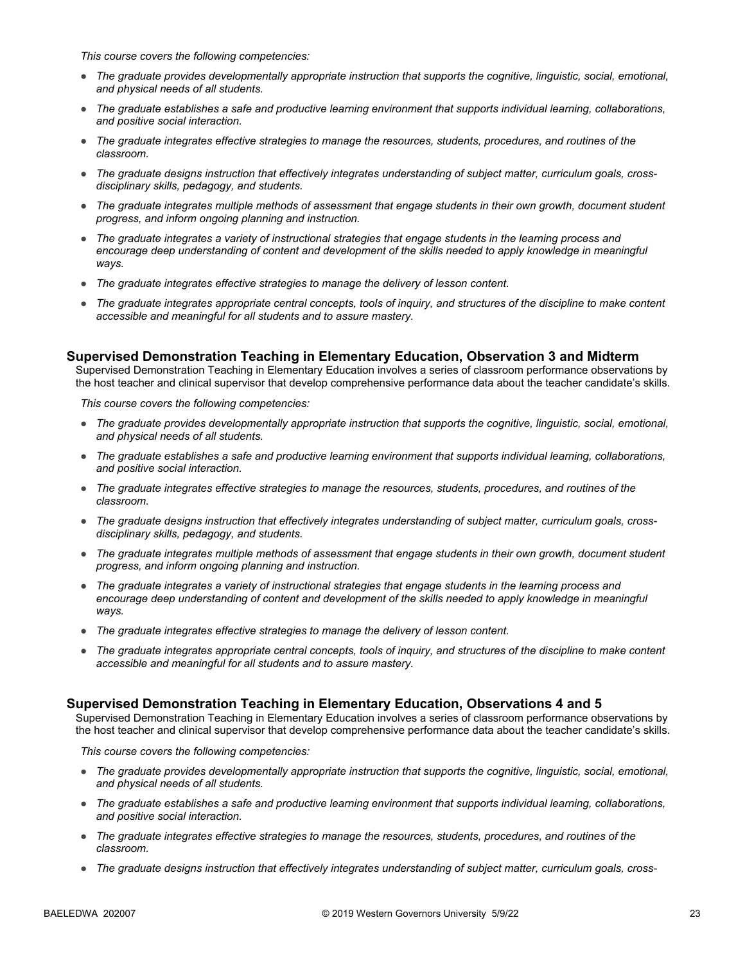*This course covers the following competencies:*

- *The graduate provides developmentally appropriate instruction that supports the cognitive, linguistic, social, emotional, and physical needs of all students.*
- *The graduate establishes a safe and productive learning environment that supports individual learning, collaborations, and positive social interaction.*
- *The graduate integrates effective strategies to manage the resources, students, procedures, and routines of the classroom.*
- The graduate designs instruction that effectively integrates understanding of subject matter, curriculum goals, cross*disciplinary skills, pedagogy, and students.*
- *The graduate integrates multiple methods of assessment that engage students in their own growth, document student progress, and inform ongoing planning and instruction.*
- *The graduate integrates a variety of instructional strategies that engage students in the learning process and*  encourage deep understanding of content and development of the skills needed to apply knowledge in meaningful *ways.*
- *The graduate integrates effective strategies to manage the delivery of lesson content.*
- *The graduate integrates appropriate central concepts, tools of inquiry, and structures of the discipline to make content accessible and meaningful for all students and to assure mastery.*

#### **Supervised Demonstration Teaching in Elementary Education, Observation 3 and Midterm**

Supervised Demonstration Teaching in Elementary Education involves a series of classroom performance observations by the host teacher and clinical supervisor that develop comprehensive performance data about the teacher candidate's skills.

*This course covers the following competencies:*

- *The graduate provides developmentally appropriate instruction that supports the cognitive, linguistic, social, emotional, and physical needs of all students.*
- *The graduate establishes a safe and productive learning environment that supports individual learning, collaborations, and positive social interaction.*
- *The graduate integrates effective strategies to manage the resources, students, procedures, and routines of the classroom.*
- *The graduate designs instruction that effectively integrates understanding of subject matter, curriculum goals, crossdisciplinary skills, pedagogy, and students.*
- *The graduate integrates multiple methods of assessment that engage students in their own growth, document student progress, and inform ongoing planning and instruction.*
- *The graduate integrates a variety of instructional strategies that engage students in the learning process and encourage deep understanding of content and development of the skills needed to apply knowledge in meaningful ways.*
- *The graduate integrates effective strategies to manage the delivery of lesson content.*
- *The graduate integrates appropriate central concepts, tools of inquiry, and structures of the discipline to make content accessible and meaningful for all students and to assure mastery.*

#### **Supervised Demonstration Teaching in Elementary Education, Observations 4 and 5**

Supervised Demonstration Teaching in Elementary Education involves a series of classroom performance observations by the host teacher and clinical supervisor that develop comprehensive performance data about the teacher candidate's skills.

- *The graduate provides developmentally appropriate instruction that supports the cognitive, linguistic, social, emotional, and physical needs of all students.*
- *The graduate establishes a safe and productive learning environment that supports individual learning, collaborations, and positive social interaction.*
- *The graduate integrates effective strategies to manage the resources, students, procedures, and routines of the classroom.*
- *The graduate designs instruction that effectively integrates understanding of subject matter, curriculum goals, cross-*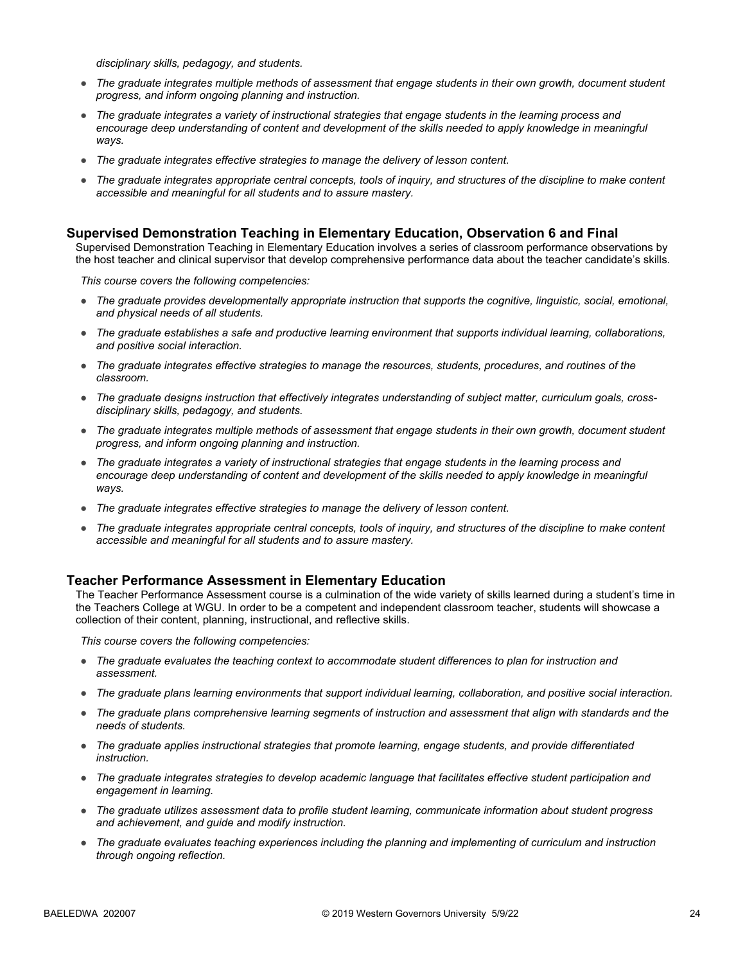*disciplinary skills, pedagogy, and students.*

- *The graduate integrates multiple methods of assessment that engage students in their own growth, document student progress, and inform ongoing planning and instruction.*
- *The graduate integrates a variety of instructional strategies that engage students in the learning process and encourage deep understanding of content and development of the skills needed to apply knowledge in meaningful ways.*
- *The graduate integrates effective strategies to manage the delivery of lesson content.*
- *The graduate integrates appropriate central concepts, tools of inquiry, and structures of the discipline to make content accessible and meaningful for all students and to assure mastery.*

#### **Supervised Demonstration Teaching in Elementary Education, Observation 6 and Final**

Supervised Demonstration Teaching in Elementary Education involves a series of classroom performance observations by the host teacher and clinical supervisor that develop comprehensive performance data about the teacher candidate's skills.

*This course covers the following competencies:*

- *The graduate provides developmentally appropriate instruction that supports the cognitive, linguistic, social, emotional, and physical needs of all students.*
- *The graduate establishes a safe and productive learning environment that supports individual learning, collaborations, and positive social interaction.*
- *The graduate integrates effective strategies to manage the resources, students, procedures, and routines of the classroom.*
- *The graduate designs instruction that effectively integrates understanding of subject matter, curriculum goals, crossdisciplinary skills, pedagogy, and students.*
- *The graduate integrates multiple methods of assessment that engage students in their own growth, document student progress, and inform ongoing planning and instruction.*
- *The graduate integrates a variety of instructional strategies that engage students in the learning process and encourage deep understanding of content and development of the skills needed to apply knowledge in meaningful ways.*
- *The graduate integrates effective strategies to manage the delivery of lesson content.*
- *The graduate integrates appropriate central concepts, tools of inquiry, and structures of the discipline to make content accessible and meaningful for all students and to assure mastery.*

#### **Teacher Performance Assessment in Elementary Education**

The Teacher Performance Assessment course is a culmination of the wide variety of skills learned during a student's time in the Teachers College at WGU. In order to be a competent and independent classroom teacher, students will showcase a collection of their content, planning, instructional, and reflective skills.

- *The graduate evaluates the teaching context to accommodate student differences to plan for instruction and assessment.*
- *The graduate plans learning environments that support individual learning, collaboration, and positive social interaction.*
- *The graduate plans comprehensive learning segments of instruction and assessment that align with standards and the needs of students.*
- *The graduate applies instructional strategies that promote learning, engage students, and provide differentiated instruction.*
- *The graduate integrates strategies to develop academic language that facilitates effective student participation and engagement in learning.*
- *The graduate utilizes assessment data to profile student learning, communicate information about student progress and achievement, and guide and modify instruction.*
- *The graduate evaluates teaching experiences including the planning and implementing of curriculum and instruction through ongoing reflection.*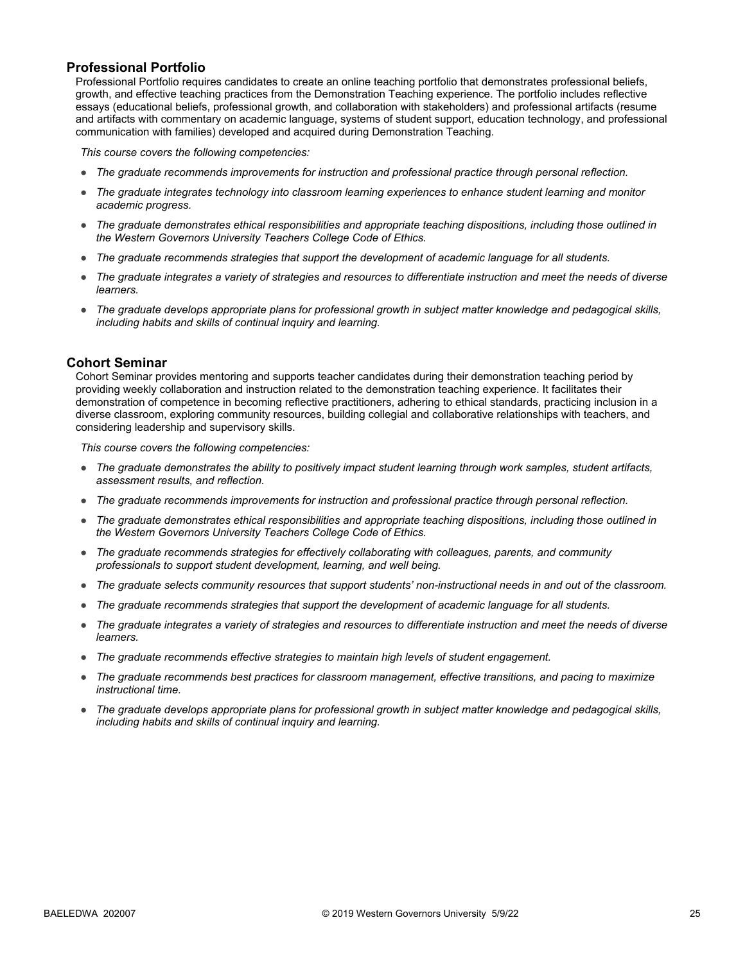#### **Professional Portfolio**

Professional Portfolio requires candidates to create an online teaching portfolio that demonstrates professional beliefs, growth, and effective teaching practices from the Demonstration Teaching experience. The portfolio includes reflective essays (educational beliefs, professional growth, and collaboration with stakeholders) and professional artifacts (resume and artifacts with commentary on academic language, systems of student support, education technology, and professional communication with families) developed and acquired during Demonstration Teaching.

*This course covers the following competencies:*

- *The graduate recommends improvements for instruction and professional practice through personal reflection.*
- *The graduate integrates technology into classroom learning experiences to enhance student learning and monitor academic progress.*
- *The graduate demonstrates ethical responsibilities and appropriate teaching dispositions, including those outlined in the Western Governors University Teachers College Code of Ethics.*
- *The graduate recommends strategies that support the development of academic language for all students.*
- *The graduate integrates a variety of strategies and resources to differentiate instruction and meet the needs of diverse learners.*
- *The graduate develops appropriate plans for professional growth in subject matter knowledge and pedagogical skills, including habits and skills of continual inquiry and learning.*

#### **Cohort Seminar**

Cohort Seminar provides mentoring and supports teacher candidates during their demonstration teaching period by providing weekly collaboration and instruction related to the demonstration teaching experience. It facilitates their demonstration of competence in becoming reflective practitioners, adhering to ethical standards, practicing inclusion in a diverse classroom, exploring community resources, building collegial and collaborative relationships with teachers, and considering leadership and supervisory skills.

- *The graduate demonstrates the ability to positively impact student learning through work samples, student artifacts, assessment results, and reflection.*
- *The graduate recommends improvements for instruction and professional practice through personal reflection.*
- *The graduate demonstrates ethical responsibilities and appropriate teaching dispositions, including those outlined in the Western Governors University Teachers College Code of Ethics.*
- *The graduate recommends strategies for effectively collaborating with colleagues, parents, and community professionals to support student development, learning, and well being.*
- *The graduate selects community resources that support students' non-instructional needs in and out of the classroom.*
- *The graduate recommends strategies that support the development of academic language for all students.*
- *The graduate integrates a variety of strategies and resources to differentiate instruction and meet the needs of diverse learners.*
- *The graduate recommends effective strategies to maintain high levels of student engagement.*
- *The graduate recommends best practices for classroom management, effective transitions, and pacing to maximize instructional time.*
- *The graduate develops appropriate plans for professional growth in subject matter knowledge and pedagogical skills, including habits and skills of continual inquiry and learning.*